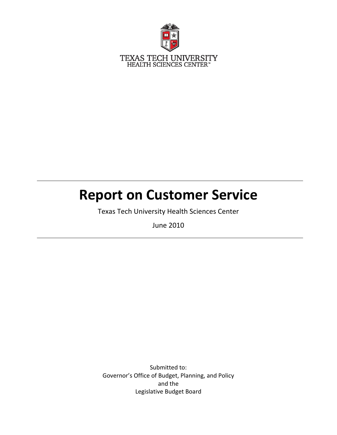

# **Report on Customer Service**

Texas Tech University Health Sciences Center

June 2010

Submitted to: Governor's Office of Budget, Planning, and Policy and the Legislative Budget Board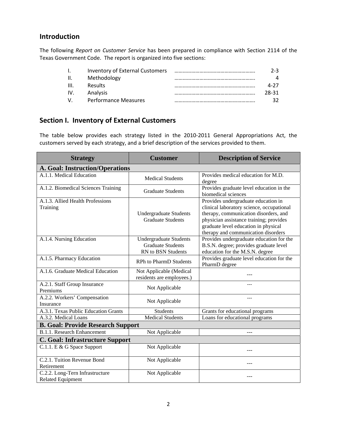# **Introduction**

The following *Report on Customer Service* has been prepared in compliance with Section 2114 of the Texas Government Code. The report is organized into five sections:

| $\mathbf{L}$ | Inventory of External Customers | $2-3$ |
|--------------|---------------------------------|-------|
| II.          | Methodology                     |       |
| III.         | <b>Results</b>                  | 4-27  |
| IV.          | Analysis                        | 28-31 |
| V.           | <b>Performance Measures</b>     |       |

# **Section I. Inventory of External Customers**

The table below provides each strategy listed in the 2010‐2011 General Appropriations Act, the customers served by each strategy, and a brief description of the services provided to them.

| <b>Strategy</b><br><b>Customer</b>                          |                                                                                 | <b>Description of Service</b>                                                                                                                                                                                                                       |
|-------------------------------------------------------------|---------------------------------------------------------------------------------|-----------------------------------------------------------------------------------------------------------------------------------------------------------------------------------------------------------------------------------------------------|
| A. Goal: Instruction/Operations                             |                                                                                 |                                                                                                                                                                                                                                                     |
| A.1.1. Medical Education                                    | <b>Medical Students</b>                                                         | Provides medical education for M.D.<br>degree                                                                                                                                                                                                       |
| A.1.2. Biomedical Sciences Training                         | <b>Graduate Students</b>                                                        | Provides graduate level education in the<br>biomedical sciences                                                                                                                                                                                     |
| A.1.3. Allied Health Professions<br>Training                | <b>Undergraduate Students</b><br><b>Graduate Students</b>                       | Provides undergraduate education in<br>clinical laboratory science, occupational<br>therapy, communication disorders, and<br>physician assistance training; provides<br>graduate level education in physical<br>therapy and communication disorders |
| A.1.4. Nursing Education                                    | <b>Undergraduate Students</b><br><b>Graduate Students</b><br>RN to BSN Students | Provides undergraduate education for the<br>B.S.N. degree; provides graduate level<br>education for the M.S.N. degree                                                                                                                               |
| A.1.5. Pharmacy Education                                   | RPh to PharmD Students                                                          | Provides graduate level education for the<br>PharmD degree                                                                                                                                                                                          |
| A.1.6. Graduate Medical Education                           | Not Applicable (Medical<br>residents are employees.)                            |                                                                                                                                                                                                                                                     |
| A.2.1. Staff Group Insurance<br>Premiums                    | Not Applicable                                                                  |                                                                                                                                                                                                                                                     |
| A.2.2. Workers' Compensation<br>Insurance                   | Not Applicable                                                                  | ---                                                                                                                                                                                                                                                 |
| A.3.1. Texas Public Education Grants                        | <b>Students</b>                                                                 | Grants for educational programs                                                                                                                                                                                                                     |
| A.3.2. Medical Loans                                        | <b>Medical Students</b>                                                         | Loans for educational programs                                                                                                                                                                                                                      |
| <b>B. Goal: Provide Research Support</b>                    |                                                                                 |                                                                                                                                                                                                                                                     |
| <b>B.1.1. Research Enhancement</b>                          | Not Applicable                                                                  | ---                                                                                                                                                                                                                                                 |
| C. Goal: Infrastructure Support                             |                                                                                 |                                                                                                                                                                                                                                                     |
| C.1.1. E & G Space Support                                  | Not Applicable                                                                  | ---                                                                                                                                                                                                                                                 |
| C.2.1. Tuition Revenue Bond<br>Retirement                   | Not Applicable                                                                  |                                                                                                                                                                                                                                                     |
| C.2.2. Long-Tern Infrastructure<br><b>Related Equipment</b> | Not Applicable                                                                  |                                                                                                                                                                                                                                                     |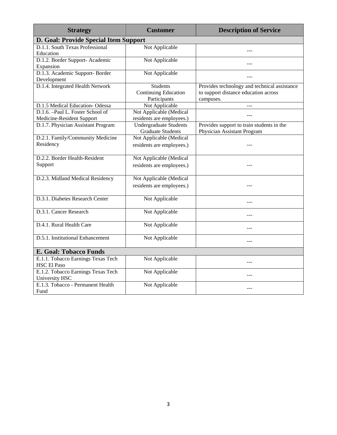| <b>Strategy</b>                                               | <b>Customer</b>                                           | <b>Description of Service</b>                                                                     |
|---------------------------------------------------------------|-----------------------------------------------------------|---------------------------------------------------------------------------------------------------|
| D. Goal: Provide Special Item Support                         |                                                           |                                                                                                   |
| D.1.1. South Texas Professional<br>Education                  | Not Applicable                                            |                                                                                                   |
| D.1.2. Border Support- Academic<br>Expansion                  | Not Applicable                                            |                                                                                                   |
| D.1.3. Academic Support-Border<br>Development                 | Not Applicable                                            |                                                                                                   |
| D.1.4. Integrated Health Network                              | <b>Students</b><br>Continuing Education<br>Participants   | Provides technology and technical assistance<br>to support distance education across<br>campuses. |
| D.1.5 Medical Education-Odessa                                | Not Applicable                                            |                                                                                                   |
| D.1.6. -Paul L. Foster School of<br>Medicine-Resident Support | Not Applicable (Medical<br>residents are employees.)      |                                                                                                   |
| D.1.7. Physician Assistant Program                            | <b>Undergraduate Students</b><br><b>Graduate Students</b> | Provides support to train students in the<br>Physician Assistant Program                          |
| D.2.1. Family/Community Medicine<br>Residency                 | Not Applicable (Medical<br>residents are employees.)      |                                                                                                   |
| D.2.2. Border Health-Resident<br>Support                      | Not Applicable (Medical<br>residents are employees.)      | $- - -$                                                                                           |
| D.2.3. Midland Medical Residency                              | Not Applicable (Medical<br>residents are employees.)      |                                                                                                   |
| D.3.1. Diabetes Research Center                               | Not Applicable                                            |                                                                                                   |
| D.3.1. Cancer Research                                        | Not Applicable                                            |                                                                                                   |
| D.4.1. Rural Health Care                                      | Not Applicable                                            |                                                                                                   |
| D.5.1. Institutional Enhancement                              | Not Applicable                                            | $---$                                                                                             |
| <b>E. Goal: Tobacco Funds</b>                                 |                                                           |                                                                                                   |
| E.1.1. Tobacco Earnings Texas Tech<br><b>HSC El Paso</b>      | Not Applicable                                            | $---$                                                                                             |
| E.1.2. Tobacco Earnings Texas Tech<br>University HSC          | Not Applicable                                            |                                                                                                   |
| E.1.3. Tobacco - Permanent Health<br>Fund                     | Not Applicable                                            |                                                                                                   |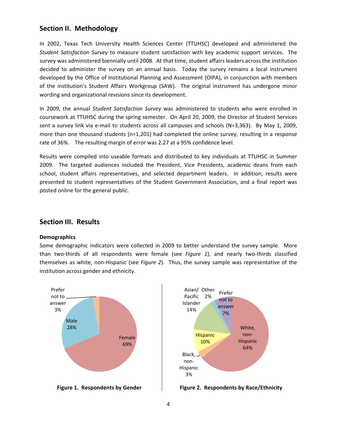# **Section II. Methodology**

In 2002, Texas Tech University Health Sciences Center (TTUHSC) developed and administered the *Student Satisfaction Survey* to measure student satisfaction with key academic support services. The survey was administered biennially until 2008. At that time, student affairs leaders across the institution decided to administer the survey on an annual basis. Today the survey remains a local instrument developed by the Office of Institutional Planning and Assessment (OIPA), in conjunction with members of the institution's Student Affairs Workgroup (SAW). The original instrument has undergone minor wording and organizational revisions since its development.

In 2009, the annual *Student Satisfaction Survey* was administered to students who were enrolled in coursework at TTUHSC during the spring semester. On April 20, 2009, the Director of Student Services sent a survey link via e-mail to students across all campuses and schools (N=3,363). By May 1, 2009, more than one thousand students (n=1,201) had completed the online survey, resulting in a response rate of 36%. The resulting margin of error was 2.27 at a 95% confidence level.

Results were compiled into useable formats and distributed to key individuals at TTUHSC in Summer 2009. The targeted audiences included the President, Vice Presidents, academic deans from each school, student affairs representatives, and selected department leaders. In addition, results were presented to student representatives of the Student Government Association, and a final report was posted online for the general public.

# **Section III. Results**

#### **Demographics**

Some demographic indicators were collected in 2009 to better understand the survey sample. More than two‐thirds of all respondents were female (see *Figure 1*), and nearly two‐thirds classified themselves as white, non‐Hispanic (see *Figure 2*). Thus, the survey sample was representative of the institution across gender and ethnicity.





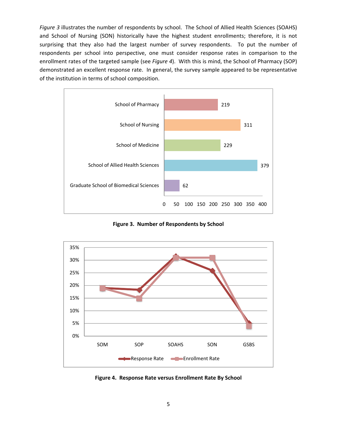*Figure 3* illustrates the number of respondents by school. The School of Allied Health Sciences (SOAHS) and School of Nursing (SON) historically have the highest student enrollments; therefore, it is not surprising that they also had the largest number of survey respondents. To put the number of respondents per school into perspective, one must consider response rates in comparison to the enrollment rates of the targeted sample (see *Figure 4*). With this is mind, the School of Pharmacy (SOP) demonstrated an excellent response rate. In general, the survey sample appeared to be representative of the institution in terms of school composition.



**Figure 3. Number of Respondents by School**



**Figure 4. Response Rate versus Enrollment Rate By School**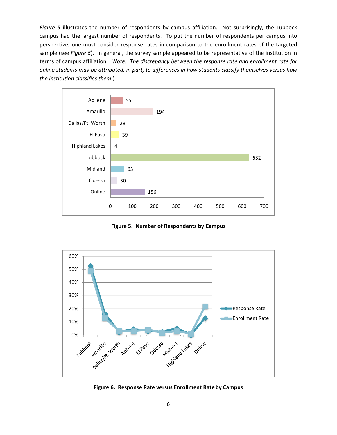*Figure 5* illustrates the number of respondents by campus affiliation. Not surprisingly, the Lubbock campus had the largest number of respondents. To put the number of respondents per campus into perspective, one must consider response rates in comparison to the enrollment rates of the targeted sample (see *Figure 6*). In general, the survey sample appeared to be representative of the institution in terms of campus affiliation. (*Note: The discrepancy between the response rate and enrollment rate for online students may be attributed, in part, to differences in how students classify themselves versus how the institution classifies them.*)



**Figure 5. Number of Respondents by Campus**



**Figure 6. Response Rate versus Enrollment Rate by Campus**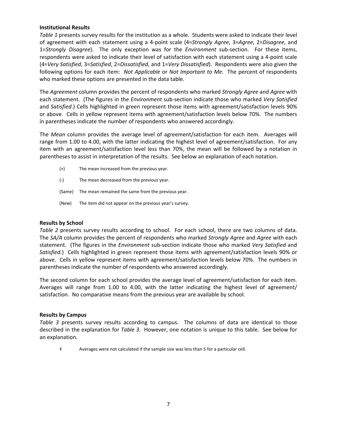#### **Institutional Results**

*Table 1* presents survey results for the institution as a whole. Students were asked to indicate their level of agreement with each statement using a 4‐point scale (4=*Strongly Agree*, 3=*Agree*, 2=*Disagree*, and 1=*Strongly Disagree*). The only exception was for the *Environment* sub‐section. For these items, respondents were asked to indicate their level of satisfaction with each statement using a 4‐point scale (4=*Very Satisfied*, 3=*Satisfied*, 2=*Dissatisfied*, and 1=*Very Dissatisfied*). Respondents were also given the following options for each item: *Not Applicable* or *Not Important to Me*. The percent of respondents who marked these options are presented in the data table.

The *Agreement* column provides the percent of respondents who marked *Strongly Agree* and *Agree* with each statement. (The figures in the *Environment* sub‐section indicate those who marked *Very Satisfied* and *Satisfied*.) Cells highlighted in green represent those items with agreement/satisfaction levels 90% or above. Cells in yellow represent items with agreement/satisfaction levels below 70%. The numbers in parentheses indicate the number of respondents who answered accordingly.

The *Mean* column provides the average level of agreement/satisfaction for each item. Averages will range from 1.00 to 4.00, with the latter indicating the highest level of agreement/satisfaction. For any item with an agreement/satisfaction level less than 70%, the mean will be followed by a notation in parentheses to assist in interpretation of the results. See below an explanation of each notation.

- (+) The mean increased from the previous year.
- (‐) The mean decreased from the previous year.
- (Same) The mean remained the same from the previous year.
- (New) The item did not appear on the previous year's survey.

#### **Results by School**

*Table 2* presents survey results according to school. For each school, there are two columns of data. The *SA/A* column provides the percent of respondents who marked *Strongly Agree* and *Agree* with each statement. (The figures in the *Environment* sub‐section indicate those who marked *Very Satisfied* and *Satisfied*.) Cells highlighted in green represent those items with agreement/satisfaction levels 90% or above. Cells in yellow represent items with agreement/satisfaction levels below 70%. The numbers in parentheses indicate the number of respondents who answered accordingly.

The second column for each school provides the average level of agreement/satisfaction for each item. Averages will range from 1.00 to 4.00, with the latter indicating the highest level of agreement/ satisfaction. No comparative means from the previous year are available by school.

#### **Results by Campus**

*Table 3* presents survey results according to campus. The columns of data are identical to those described in the explanation for *Table 3*. However, one notation is unique to this table. See below for an explanation.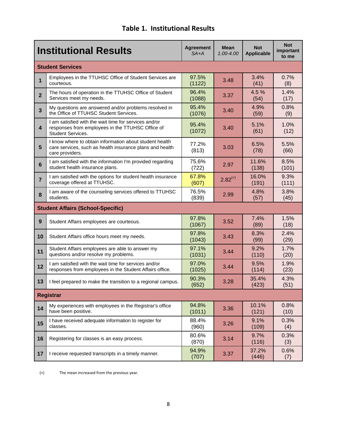#### **Institutional Results** Agreement *SA+A* **Mean**  *1.00-4.00*  **Not Applicable Not important to me Student Services 1** Employees in the TTUHSC Office of Student Services are courteous. 97.5%  $\begin{array}{|c|c|c|c|}\n 97.5\% & 3.48 & 3.4\% \hline\n (1122) & 3.48 & (41) \end{array}$ (41)  $0.7%$ (8) **2** The hours of operation in the TTUHSC Office of Student Services meet my needs. 96.4%  $(1088)$  3.37  $4.5\%$ <br>(1088) 3.37 (54) (54) 1.4% (17) **3** My questions are answered and/or problems resolved in the Office of TTUHSC Student Services. 95.4% 95.4% 3.40 4.9%<br>(1076) 3.40 (59) (59) 0.8% (9) **4**  I am satisfied with the wait time for services and/or responses from employees in the TTUHSC Office of Student Services. 95.4% 95.4% 3.40 5.1%<br>(1072) 3.40 (61) (61) 1.0% (12) **5**  I know where to obtain information about student health care services, such as health insurance plans and health care providers. 77.2% 77.2% 3.03 6.5%<br>(813) 3.03 (78) (78) 5.5% (66) **6** I am satisfied with the information I'm provided regarding student health insurance plans. 75.6% (722) 2.97 11.6% (138) 8.5% (101) **7** I am satisfied with the options for student health insurance coverage offered at TTUHSC. 67.8%  $\begin{array}{|c|c|c|c|}\hline \text{37.8\%} \ \hline \text{(607)} \ \hline \end{array} \hspace{1cm} \begin{array}{|c|c|c|}\hline \text{2.82}^{(+)} \ \hline \end{array} \hspace{1cm} \begin{array}{|c|c|c|}\hline \text{16.0\%} \ \hline \text{(191)} \ \hline \end{array}$ (191) 9.3% (111) **8** I am aware of the counseling services offered to TTUHSC students. 76.5% 76.5% 2.99 4.8%<br>(839) 2.99 (57) (57) 3.8% (45) **Student Affairs (School-Specific) 9**Student Affairs employees are courteous. 27.8% 97.8% 3.52 7.4%<br>(1067) 3.52 (89) (89) 1.5% (18) **10** Student Affairs office hours meet my needs. 97.8%  $(1043)$  3.43  $(99)$ (99) 2.4% (29) **11** Student Affairs employees are able to answer my questions and/or resolve my problems. 97.1% 97.1% 3.44 9.2%<br>(1031) 3.44 (110) (110) 1.7% (20) **12** I am satisfied with the wait time for services and/or responses from employees in the Student Affairs office. 97.0% 97.0% 3.44 9.5%<br>(1025) 3.44 (114) (114) 1.9% (23) **13** I feel prepared to make the transition to a regional campus. **90.3%** (652)  $(652)$  3.28  $(423)$ (423) 4.3% (51) **Registrar 14** My experiences with employees in the Registrar's office have been positive. 94.8% 94.8% 3.36 10.1%<br>(1011) 3.36 (121) (121) 0.8% (10) **15** I have received adequate information to register for classes. 88.4% 88.4% 3.26 9.1%<br>(960) 3.26 (109) (109) 0.3% (4) **16** Registering for classes is an easy process. 80.6% 80.6% (870) 3.14 9.7% (116) 0.3% (3) **17** I receive requested transcripts in a timely manner. **94.9%** (707) 94.9% 3.37 37.2%<br>(707) 3.37 (446) (446) 0.6% (7)

# **Table 1. Institutional Results**

(+) The mean increased from the previous year.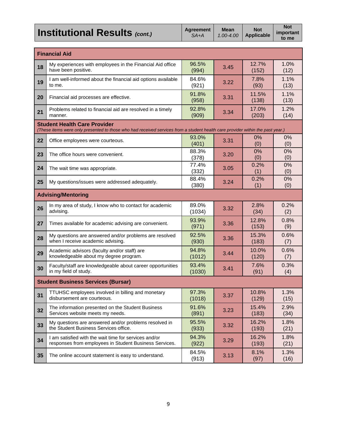| <b>Institutional Results (cont.)</b> | Agreement<br>SA+A | <b>Mean</b> | <b>Not</b><br>$1.00 - 4.00$ Applicable | <b>Not</b><br>important<br>to me |
|--------------------------------------|-------------------|-------------|----------------------------------------|----------------------------------|
|--------------------------------------|-------------------|-------------|----------------------------------------|----------------------------------|

|    | <b>Financial Aid</b>                                                                                                                                                  |                 |             |                |              |  |  |  |  |  |
|----|-----------------------------------------------------------------------------------------------------------------------------------------------------------------------|-----------------|-------------|----------------|--------------|--|--|--|--|--|
| 18 | My experiences with employees in the Financial Aid office<br>have been positive.                                                                                      | 96.5%<br>(994)  | 3.45        | 12.7%<br>(152) | 1.0%<br>(12) |  |  |  |  |  |
| 19 | I am well-informed about the financial aid options available<br>to me.                                                                                                | 84.6%<br>(921)  | 3.22        | 7.8%<br>(93)   | 1.1%<br>(13) |  |  |  |  |  |
| 20 | Financial aid processes are effective.                                                                                                                                | 91.8%<br>(958)  | 3.31        | 11.5%<br>(138) | 1.1%<br>(13) |  |  |  |  |  |
| 21 | Problems related to financial aid are resolved in a timely<br>manner.                                                                                                 | 92.8%<br>(909)  | 3.34        | 17.0%<br>(203) | 1.2%<br>(14) |  |  |  |  |  |
|    | <b>Student Health Care Provider</b><br>(These items were only presented to those who had received services from a student health care provider within the past year.) |                 |             |                |              |  |  |  |  |  |
| 22 | Office employees were courteous.                                                                                                                                      | 93.0%<br>(401)  | 3.31        | 0%<br>(0)      | 0%<br>(0)    |  |  |  |  |  |
| 23 | The office hours were convenient.                                                                                                                                     | 88.3%<br>(378)  | 3.20        | 0%<br>(0)      | 0%<br>(0)    |  |  |  |  |  |
| 24 | The wait time was appropriate.                                                                                                                                        | 3.05            | 0.2%<br>(1) | 0%<br>(0)      |              |  |  |  |  |  |
| 25 | My questions/issues were addressed adequately.                                                                                                                        | 88.4%<br>(380)  | 3.24        | 0.2%<br>(1)    | 0%<br>(0)    |  |  |  |  |  |
|    | <b>Advising/Mentoring</b>                                                                                                                                             |                 |             |                |              |  |  |  |  |  |
| 26 | In my area of study, I know who to contact for academic<br>advising.                                                                                                  | 89.0%<br>(1034) | 3.32        | 2.8%<br>(34)   | 0.2%<br>(2)  |  |  |  |  |  |
| 27 | Times available for academic advising are convenient.                                                                                                                 | 93.9%<br>(971)  | 3.36        | 12.8%<br>(153) | 0.8%<br>(9)  |  |  |  |  |  |
| 28 | My questions are answered and/or problems are resolved<br>when I receive academic advising.                                                                           | 92.5%<br>(930)  | 3.36        | 15.3%<br>(183) | 0.6%<br>(7)  |  |  |  |  |  |
| 29 | Academic advisors (faculty and/or staff) are<br>knowledgeable about my degree program.                                                                                | 94.8%<br>(1012) | 3.44        | 10.0%<br>(120) | 0.6%<br>(7)  |  |  |  |  |  |
| 30 | Faculty/staff are knowledgeable about career opportunities<br>in my field of study.                                                                                   | 93.4%<br>(1030) | 3.41        | 7.6%<br>(91)   | 0.3%<br>(4)  |  |  |  |  |  |
|    | <b>Student Business Services (Bursar)</b>                                                                                                                             |                 |             |                |              |  |  |  |  |  |
| 31 | TTUHSC employees involved in billing and monetary<br>disbursement are courteous.                                                                                      | 97.3%<br>(1018) | 3.37        | 10.8%<br>(129) | 1.3%<br>(15) |  |  |  |  |  |
| 32 | The information presented on the Student Business<br>Services website meets my needs.                                                                                 | 91.6%<br>(891)  | 3.23        | 15.4%<br>(183) | 2.9%<br>(34) |  |  |  |  |  |
| 33 | My questions are answered and/or problems resolved in<br>the Student Business Services office.                                                                        | 95.5%<br>(933)  | 3.32        | 16.2%<br>(193) | 1.8%<br>(21) |  |  |  |  |  |
| 34 | I am satisfied with the wait time for services and/or<br>responses from employees in Student Business Services.                                                       | 94.3%<br>(922)  | 3.29        | 16.2%<br>(193) | 1.8%<br>(21) |  |  |  |  |  |
| 35 | The online account statement is easy to understand.                                                                                                                   | 84.5%<br>(913)  | 3.13        | 8.1%<br>(97)   | 1.3%<br>(16) |  |  |  |  |  |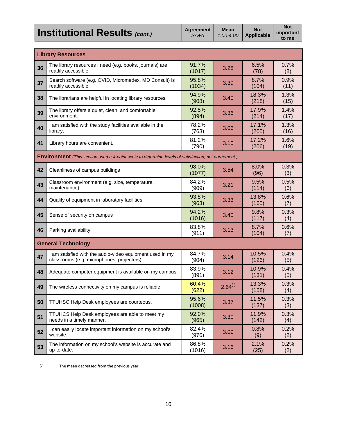| <b>Institutional Results (cont.)</b> | Agreement<br>SA+A | <b>Mean</b><br>$1.00 - 4.00$ | <b>Not</b><br>Applicable | <b>Not</b><br>important<br>to me |
|--------------------------------------|-------------------|------------------------------|--------------------------|----------------------------------|
|--------------------------------------|-------------------|------------------------------|--------------------------|----------------------------------|

|    | <b>Library Resources</b>                                                                                   |                 |              |                |              |
|----|------------------------------------------------------------------------------------------------------------|-----------------|--------------|----------------|--------------|
| 36 | The library resources I need (e.g. books, journals) are<br>readily accessible.                             | 91.7%<br>(1017) | 3.28         | 6.5%<br>(78)   | 0.7%<br>(8)  |
| 37 | Search software (e.g. OVID, Micromedex, MD Consult) is<br>readily accessible.                              | 95.8%<br>(1034) | 3.39         | 8.7%<br>(104)  | 0.9%<br>(11) |
| 38 | The librarians are helpful in locating library resources.                                                  | 94.9%<br>(908)  | 3.40         | 18.3%<br>(218) | 1.3%<br>(15) |
| 39 | The library offers a quiet, clean, and comfortable<br>environment.                                         | 92.5%<br>(894)  | 3.36         | 17.9%<br>(214) | 1.4%<br>(17) |
| 40 | I am satisfied with the study facilities available in the<br>library.                                      | 78.2%<br>(763)  | 3.06         | 17.1%<br>(205) | 1.3%<br>(16) |
| 41 | Library hours are convenient.                                                                              | 81.2%<br>(790)  | 3.10         | 17.2%<br>(206) | 1.6%<br>(19) |
|    | <b>Environment</b> (This section used a 4-point scale to determine levels of satisfaction, not agreement.) |                 |              |                |              |
| 42 | 98.0%<br>Cleanliness of campus buildings<br>(1077)                                                         |                 | 3.54         | 8.0%<br>(96)   | 0.3%<br>(3)  |
| 43 | Classroom environment (e.g. size, temperature,<br>maintenance)                                             | 84.2%<br>(909)  | 3.21         | 9.5%<br>(114)  | 0.5%<br>(6)  |
| 44 | Quality of equipment in laboratory facilities                                                              | 93.8%<br>(963)  | 3.33         | 13.8%<br>(165) | 0.6%<br>(7)  |
| 45 | Sense of security on campus                                                                                | 94.2%<br>(1016) | 3.40         | 9.8%<br>(117)  | 0.3%<br>(4)  |
| 46 | Parking availability                                                                                       | 83.8%<br>(911)  | 3.13         | 8.7%<br>(104)  | 0.6%<br>(7)  |
|    | <b>General Technology</b>                                                                                  |                 |              |                |              |
| 47 | I am satisfied with the audio-video equipment used in my<br>classrooms (e.g. microphones, projectors).     | 84.7%<br>(904)  | 3.14         | 10.5%<br>(126) | 0.4%<br>(5)  |
| 48 | Adequate computer equipment is available on my campus.                                                     | 83.9%<br>(891)  | 3.12         | 10.9%<br>(131) | 0.4%<br>(5)  |
| 49 | The wireless connectivity on my campus is reliable.                                                        | 60.4%<br>(622)  | $2.64^{(-)}$ | 13.3%<br>(158) | 0.3%<br>(4)  |
| 50 | TTUHSC Help Desk employees are courteous.                                                                  | 95.6%<br>(1008) | 3.37         | 11.5%<br>(137) | 0.3%<br>(3)  |
| 51 | TTUHCS Help Desk employees are able to meet my<br>needs in a timely manner.                                | 92.0%<br>(965)  | 3.30         | 11.9%<br>(142) | 0.3%<br>(4)  |
| 52 | I can easily locate important information on my school's<br>website.                                       | 82.4%<br>(976)  | 3.09         | 0.8%<br>(9)    | 0.2%<br>(2)  |
| 53 | The information on my school's website is accurate and<br>up-to-date.                                      | 86.8%<br>(1016) | 3.16         | 2.1%<br>(25)   | 0.2%<br>(2)  |

(‐) The mean decreased from the previous year.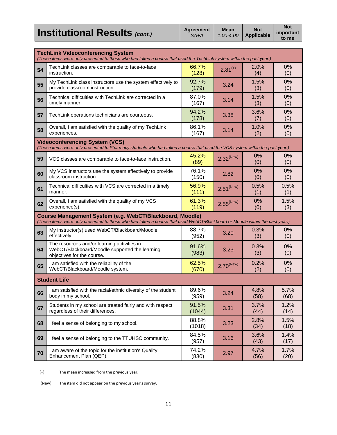| <b>Institutional Results (cont.)</b> | <b>Agreement</b><br>SA+A | <b>Mean</b> | <b>Not</b><br>$1.00 - 4.00$ Applicable | <b>Not</b><br>important<br>to me |
|--------------------------------------|--------------------------|-------------|----------------------------------------|----------------------------------|
|--------------------------------------|--------------------------|-------------|----------------------------------------|----------------------------------|

|    | <b>TechLink Videoconferencing System</b><br>(These items were only presented to those who had taken a course that used the TechLink system within the past year.)                        |                 |                         |              |              |
|----|------------------------------------------------------------------------------------------------------------------------------------------------------------------------------------------|-----------------|-------------------------|--------------|--------------|
| 54 | TechLink classes are comparable to face-to-face<br>instruction.                                                                                                                          | 66.7%<br>(128)  | $2.81^{(+)}$            | 2.0%<br>(4)  | 0%<br>(0)    |
| 55 | My TechLink class instructors use the system effectively to<br>provide classroom instruction.                                                                                            | 92.7%<br>(179)  | 3.24                    | 1.5%<br>(3)  | 0%<br>(0)    |
| 56 | Technical difficulties with TechLink are corrected in a<br>timely manner.                                                                                                                | 87.0%<br>(167)  | 3.14                    | 1.5%<br>(3)  | 0%<br>(0)    |
| 57 | TechLink operations technicians are courteous.                                                                                                                                           | 94.2%<br>(178)  | 3.38                    | 3.6%<br>(7)  | 0%<br>(0)    |
| 58 | Overall, I am satisfied with the quality of my TechLink<br>experiences.                                                                                                                  | 86.1%<br>(167)  | 3.14                    | 1.0%<br>(2)  | 0%<br>(0)    |
|    | <b>Videoconferencing System (VCS)</b><br>(These items were only presented to Pharmacy students who had taken a course that used the VCS system within the past year.)                    |                 |                         |              |              |
| 59 | VCS classes are comparable to face-to-face instruction.                                                                                                                                  | $2.32^{(New)}$  | 0%<br>(0)               | 0%<br>(0)    |              |
| 60 | My VCS instructors use the system effectively to provide<br>classroom instruction.                                                                                                       | 2.82            | 0%<br>(0)               | 0%<br>(0)    |              |
| 61 | 56.9%<br>Technical difficulties with VCS are corrected in a timely<br>manner.<br>(111)                                                                                                   |                 |                         | 0.5%<br>(1)  | 0.5%<br>(1)  |
| 62 | Overall, I am satisfied with the quality of my VCS<br>experience(s).                                                                                                                     | 61.3%<br>(119)  | $2.55$ <sup>(New)</sup> | 0%<br>(0)    | 1.5%<br>(3)  |
|    | Course Management System (e.g. WebCT/Blackboard, Moodle)<br>(These items were only presented to those who had taken a course that used WebCT/Blackboard or Moodle within the past year.) |                 |                         |              |              |
| 63 | My instructor(s) used WebCT/Blackboard/Moodle<br>effectively.                                                                                                                            | 88.7%<br>(952)  | 3.20                    | 0.3%<br>(3)  | 0%<br>(0)    |
| 64 | The resources and/or learning activities in<br>WebCT/Blackboard/Moodle supported the learning<br>objectives for the course.                                                              | 91.6%<br>(983)  | 3.23                    | 0.3%<br>(3)  | 0%<br>(0)    |
| 65 | I am satisfied with the reliability of the<br>WebCT/Blackboard/Moodle system.                                                                                                            | 62.5%<br>(670)  | $2.70$ <sup>(New)</sup> | 0.2%<br>(2)  | 0%<br>(0)    |
|    | <b>Student Life</b>                                                                                                                                                                      |                 |                         |              |              |
| 66 | am satisfied with the racial/ethnic diversity of the student<br>body in my school.                                                                                                       | 89.6%<br>(959)  | 3.24                    | 4.8%<br>(58) | 5.7%<br>(68) |
| 67 | Students in my school are treated fairly and with respect<br>regardless of their differences.                                                                                            | 91.5%<br>(1044) | 3.31                    | 3.7%<br>(44) | 1.2%<br>(14) |
| 68 | I feel a sense of belonging to my school.                                                                                                                                                | 88.8%<br>(1018) | 3.23                    | 2.8%<br>(34) | 1.5%<br>(18) |
| 69 | I feel a sense of belonging to the TTUHSC community.                                                                                                                                     | 84.5%<br>(957)  | 3.16                    | 3.6%<br>(43) | 1.4%<br>(17) |
| 70 | I am aware of the topic for the institution's Quality<br>Enhancement Plan (QEP).                                                                                                         | 74.2%<br>(830)  | 2.97                    | 4.7%<br>(56) | 1.7%<br>(20) |

(+) The mean increased from the previous year.

(New) The item did not appear on the previous year's survey.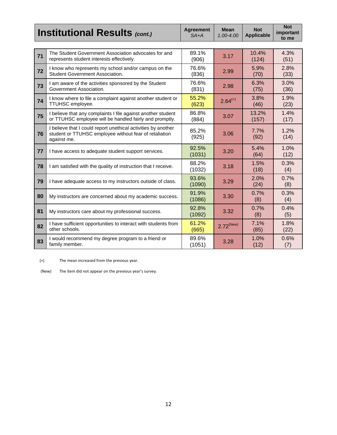|    | <b>Institutional Results (cont.)</b>                                                                                                   | <b>Agreement</b><br>$SA+A$ | <b>Mean</b><br>$1.00 - 4.00$ | <b>Not</b><br><b>Applicable</b> | <b>Not</b><br>important<br>to me |
|----|----------------------------------------------------------------------------------------------------------------------------------------|----------------------------|------------------------------|---------------------------------|----------------------------------|
|    |                                                                                                                                        |                            |                              |                                 |                                  |
| 71 | The Student Government Association advocates for and<br>represents student interests effectively.                                      | 89.1%<br>(906)             | 3.17                         | 10.4%<br>(124)                  | 4.3%<br>(51)                     |
| 72 | I know who represents my school and/or campus on the<br>Student Government Association.                                                | 76.6%<br>(836)             | 2.99                         | 5.9%<br>(70)                    | 2.8%<br>(33)                     |
| 73 | I am aware of the activities sponsored by the Student<br>Government Association.                                                       | 76.6%<br>(831)             | 2.98                         | 6.3%<br>(75)                    | 3.0%<br>(36)                     |
| 74 | I know where to file a complaint against another student or<br>TTUHSC employee.                                                        |                            | $2.64^{(+)}$                 | 3.8%<br>(46)                    | 1.9%<br>(23)                     |
| 75 | I believe that any complaints I file against another student<br>or TTUHSC employee will be handled fairly and promptly.                |                            | 3.07                         | 13.2%<br>(157)                  | 1.4%<br>(17)                     |
| 76 | I believe that I could report unethical activities by another<br>student or TTUHSC employee without fear of retaliation<br>against me. | 85.2%<br>(925)             | 3.06                         | 7.7%<br>(92)                    | 1.2%<br>(14)                     |
| 77 | I have access to adequate student support services.                                                                                    | 92.5%<br>(1031)            | 3.20                         | 5.4%<br>(64)                    | 1.0%<br>(12)                     |
| 78 | I am satisfied with the quality of instruction that I receive.                                                                         | 88.2%<br>(1032)            | 3.18                         | 1.5%<br>(18)                    | 0.3%<br>(4)                      |
| 79 | I have adequate access to my instructors outside of class.                                                                             | 93.6%<br>(1090)            | 3.29                         | 2.0%<br>(24)                    | 0.7%<br>(8)                      |
| 80 | My instructors are concerned about my academic success.                                                                                | 91.9%<br>(1086)            | 3.30                         | 0.7%<br>(8)                     | 0.3%<br>(4)                      |
| 81 | My instructors care about my professional success.                                                                                     | 92.8%<br>(1092)            | 3.32                         | 0.7%<br>(8)                     | 0.4%<br>(5)                      |
| 82 | I have sufficient opportunities to interact with students from<br>other schools.                                                       | 61.2%<br>(665)             | $2.72^{(New)}$               | 7.1%<br>(85)                    | 1.8%<br>(22)                     |
| 83 | I would recommend my degree program to a friend or<br>family member.                                                                   | 89.6%<br>(1051)            | 3.28                         | 1.0%<br>(12)                    | 0.6%<br>(7)                      |

(+) The mean increased from the previous year.

(New) The item did not appear on the previous year's survey.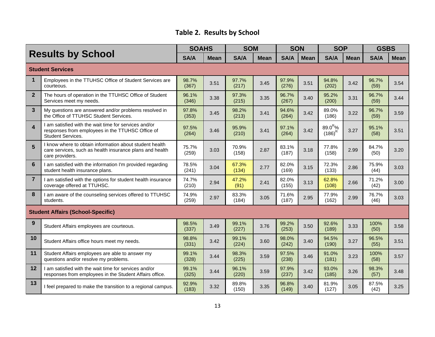# **Table 2. Results by School**

|                  |                                                                                                                                        |                | <b>SOM</b><br><b>SOAHS</b> |                | <b>SON</b>  |                | <b>SOP</b>  |                           | <b>GSBS</b> |               |             |
|------------------|----------------------------------------------------------------------------------------------------------------------------------------|----------------|----------------------------|----------------|-------------|----------------|-------------|---------------------------|-------------|---------------|-------------|
|                  | <b>Results by School</b>                                                                                                               | <b>SA/A</b>    | <b>Mean</b>                | <b>SA/A</b>    | <b>Mean</b> | <b>SA/A</b>    | <b>Mean</b> | SA/A                      | <b>Mean</b> | <b>SA/A</b>   | <b>Mean</b> |
|                  | <b>Student Services</b>                                                                                                                |                |                            |                |             |                |             |                           |             |               |             |
| $\mathbf 1$      | Employees in the TTUHSC Office of Student Services are<br>courteous.                                                                   | 98.7%<br>(367) | 3.51                       | 97.7%<br>(217) | 3.45        | 97.9%<br>(276) | 3.51        | 94.8%<br>(202)            | 3.42        | 96.7%<br>(59) | 3.54        |
| $\overline{2}$   | The hours of operation in the TTUHSC Office of Student<br>Services meet my needs.                                                      | 96.1%<br>(346) | 3.38                       | 97.3%<br>(215) | 3.35        | 96.7%<br>(267) | 3.40        | 95.2%<br>(200)            | 3.31        | 96.7%<br>(59) | 3.44        |
| 3                | My questions are answered and/or problems resolved in<br>the Office of TTUHSC Student Services.                                        | 97.8%<br>(353) | 3.45                       | 98.2%<br>(213) | 3.41        | 94.6%<br>(264) | 3.42        | 89.0%<br>(186)            | 3.22        | 96.7%<br>(59) | 3.59        |
| $\boldsymbol{4}$ | I am satisfied with the wait time for services and/or<br>responses from employees in the TTUHSC Office of<br><b>Student Services.</b>  | 97.5%<br>(264) | 3.46                       | 95.9%<br>(210) | 3.41        | 97.1%<br>(264) | 3.42        | $89.0^{R}$ %<br>$(186)^R$ | 3.27        | 95.1%<br>(58) | 3.51        |
| 5                | I know where to obtain information about student health<br>care services, such as health insurance plans and health<br>care providers. | 75.7%<br>(259) | 3.03                       | 70.9%<br>(158) | 2.87        | 83.1%<br>(187) | 3.18        | 77.8%<br>(158)            | 2.99        | 84.7%<br>(50) | 3.20        |
| 6                | I am satisfied with the information I'm provided regarding<br>student health insurance plans.                                          | 78.5%<br>(241) | 3.04                       | 67.3%<br>(134) | 2.77        | 82.0%<br>(169) | 3.15        | 72.3%<br>(133)            | 2.86        | 75.9%<br>(44) | 3.03        |
| $\overline{7}$   | I am satisfied with the options for student health insurance<br>coverage offered at TTUHSC.                                            | 74.7%<br>(210) | 2.94                       | 47.2%<br>(91)  | 2.41        | 82.0%<br>(155) | 3.13        | 62.8%<br>(108)            | 2.66        | 71.2%<br>(42) | 3.00        |
| 8                | I am aware of the counseling services offered to TTUHSC<br>students.                                                                   | 74.9%<br>(259) | 2.97                       | 83.3%<br>(184) | 3.05        | 71.6%<br>(187) | 2.95        | 77.9%<br>(162)            | 2.99        | 76.7%<br>(46) | 3.03        |
|                  | <b>Student Affairs (School-Specific)</b>                                                                                               |                |                            |                |             |                |             |                           |             |               |             |
| 9                | Student Affairs employees are courteous.                                                                                               | 98.5%<br>(337) | 3.49                       | 99.1%<br>(227) | 3.76        | 99.2%<br>(253) | 3.50        | 92.6%<br>(189)            | 3.33        | 100%<br>(50)  | 3.58        |
| 10               | Student Affairs office hours meet my needs.                                                                                            | 98.8%<br>(331) | 3.42                       | 99.1%<br>(224) | 3.60        | 98.0%<br>(242) | 3.40        | 94.5%<br>(190)            | 3.27        | 96.5%<br>(55) | 3.51        |
| 11               | Student Affairs employees are able to answer my<br>questions and/or resolve my problems.                                               | 99.1%<br>(328) | 3.44                       | 98.3%<br>(225) | 3.59        | 97.5%<br>(238) | 3.46        | 91.0%<br>(181)            | 3.23        | 100%<br>(58)  | 3.57        |
| 12               | I am satisfied with the wait time for services and/or<br>responses from employees in the Student Affairs office.                       | 99.1%<br>(325) | 3.44                       | 96.1%<br>(220) | 3.59        | 97.9%<br>(237) | 3.42        | 93.0%<br>(185)            | 3.26        | 98.3%<br>(57) | 3.48        |
| 13               | I feel prepared to make the transition to a regional campus.                                                                           | 92.9%<br>(183) | 3.32                       | 89.8%<br>(150) | 3.35        | 96.8%<br>(149) | 3.40        | 81.9%<br>(127)            | 3.05        | 87.5%<br>(42) | 3.25        |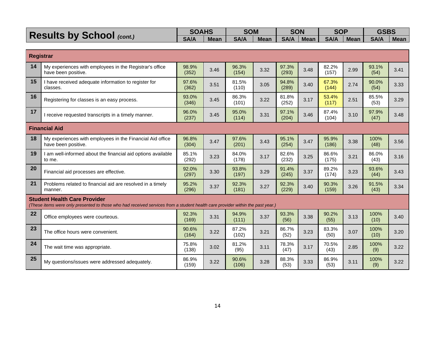| <b>Results by School (cont.)</b> |             | <b>SOAHS</b> |             | <b>SOM</b>                |  | <b>SON</b> |  | <b>SOP</b> |             | <b>GSBS</b> |  |
|----------------------------------|-------------|--------------|-------------|---------------------------|--|------------|--|------------|-------------|-------------|--|
|                                  | <b>SA/A</b> | <b>Mean</b>  | <b>SA/A</b> | Mean   SA/A   Mean   SA/A |  |            |  | Mean       | <b>SA/A</b> | <b>Mean</b> |  |

| <b>Registrar</b> |                                                                                                                                                                       |                |      |                |      |                |      |                |      |               |      |
|------------------|-----------------------------------------------------------------------------------------------------------------------------------------------------------------------|----------------|------|----------------|------|----------------|------|----------------|------|---------------|------|
| 14               | My experiences with employees in the Registrar's office<br>have been positive.                                                                                        | 98.9%<br>(352) | 3.46 | 96.3%<br>(154) | 3.32 | 97.3%<br>(293) | 3.48 | 82.2%<br>(157) | 2.99 | 93.1%<br>(54) | 3.41 |
| 15               | I have received adequate information to register for<br>classes.                                                                                                      | 97.6%<br>(362) | 3.51 | 81.5%<br>(110) | 3.05 | 94.8%<br>(289) | 3.40 | 67.3%<br>(144) | 2.74 | 90.0%<br>(54) | 3.33 |
| 16               | Registering for classes is an easy process.                                                                                                                           | 93.0%<br>(346) | 3.45 | 86.3%<br>(101) | 3.22 | 81.8%<br>(252) | 3.17 | 53.4%<br>(117) | 2.51 | 85.5%<br>(53) | 3.29 |
| 17               | receive requested transcripts in a timely manner.                                                                                                                     | 96.0%<br>(237) | 3.45 | 95.0%<br>(114) | 3.31 | 97.1%<br>(204) | 3.46 | 87.4%<br>(104) | 3.10 | 97.9%<br>(47) | 3.48 |
|                  | <b>Financial Aid</b>                                                                                                                                                  |                |      |                |      |                |      |                |      |               |      |
| 18               | My experiences with employees in the Financial Aid office<br>have been positive.                                                                                      | 96.8%<br>(304) | 3.47 | 97.6%<br>(201) | 3.43 | 95.1%<br>(254) | 3.47 | 95.9%<br>(186) | 3.38 | 100%<br>(48)  | 3.56 |
| 19               | I am well-informed about the financial aid options available<br>to me.                                                                                                | 85.1%<br>(292) | 3.23 | 84.0%<br>(178) | 3.17 | 82.6%<br>(232) | 3.25 | 86.6%<br>(175) | 3.21 | 86.0%<br>(43) | 3.16 |
| 20               | Financial aid processes are effective.                                                                                                                                | 92.0%<br>(297) | 3.30 | 93.8%<br>(197) | 3.29 | 91.4%<br>(245) | 3.37 | 89.2%<br>(174) | 3.23 | 93.6%<br>(44) | 3.43 |
| 21               | Problems related to financial aid are resolved in a timely<br>manner.                                                                                                 | 95.2%<br>(296) | 3.37 | 92.3%<br>(181) | 3.27 | 92.3%<br>(229) | 3.40 | 90.3%<br>(159) | 3.26 | 91.5%<br>(43) | 3.34 |
|                  | <b>Student Health Care Provider</b><br>(These items were only presented to those who had received services from a student health care provider within the past year.) |                |      |                |      |                |      |                |      |               |      |
| 22               | Office employees were courteous.                                                                                                                                      | 92.3%<br>(169) | 3.31 | 94.9%<br>(111) | 3.37 | 93.3%<br>(56)  | 3.38 | 90.2%<br>(55)  | 3.13 | 100%<br>(10)  | 3.40 |
| 23               | The office hours were convenient.                                                                                                                                     | 90.6%<br>(164) | 3.22 | 87.2%<br>(102) | 3.21 | 86.7%<br>(52)  | 3.23 | 83.3%<br>(50)  | 3.07 | 100%<br>(10)  | 3.20 |
| 24               | The wait time was appropriate.                                                                                                                                        | 75.8%<br>(138) | 3.02 | 81.2%<br>(95)  | 3.11 | 78.3%<br>(47)  | 3.17 | 70.5%<br>(43)  | 2.85 | 100%<br>(9)   | 3.22 |
| 25               | My questions/issues were addressed adequately.                                                                                                                        | 86.9%<br>(159) | 3.22 | 90.6%<br>(106) | 3.28 | 88.3%<br>(53)  | 3.33 | 86.9%<br>(53)  | 3.11 | 100%<br>(9)   | 3.22 |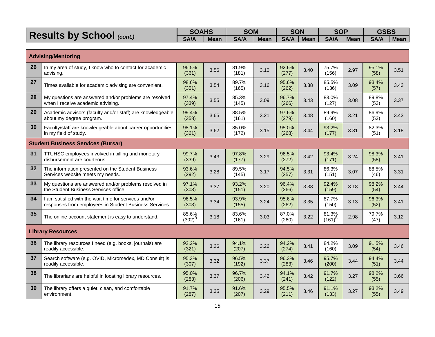| <b>Results by School (cont.)</b> | <b>SOAHS</b> |             | <b>SOM</b>  |                    | <b>SON</b> | <b>SOP</b> |      | <b>GSBS</b> |      |
|----------------------------------|--------------|-------------|-------------|--------------------|------------|------------|------|-------------|------|
|                                  | <b>SA/A</b>  | <b>Mean</b> | <b>SA/A</b> | Mean   SA/A   Mean |            | SA/A       | Mean | SA/A        | Mean |

|    | <b>Advising/Mentoring</b>                                                                                       |                      |      |                |      |                |      |                      |      |               |      |
|----|-----------------------------------------------------------------------------------------------------------------|----------------------|------|----------------|------|----------------|------|----------------------|------|---------------|------|
| 26 | In my area of study, I know who to contact for academic<br>advising.                                            | 96.5%<br>(361)       | 3.56 | 81.9%<br>(181) | 3.10 | 92.6%<br>(277) | 3.40 | 75.7%<br>(156)       | 2.97 | 95.1%<br>(58) | 3.51 |
| 27 | Times available for academic advising are convenient.                                                           | 98.6%<br>(351)       | 3.54 | 89.7%<br>(165) | 3.16 | 95.6%<br>(262) | 3.38 | 85.5%<br>(136)       | 3.09 | 93.4%<br>(57) | 3.43 |
| 28 | My questions are answered and/or problems are resolved<br>when I receive academic advising.                     | 97.4%<br>(339)       | 3.55 | 85.3%<br>(145) | 3.09 | 96.7%<br>(266) | 3.43 | 83.0%<br>(127)       | 3.08 | 89.8%<br>(53) | 3.37 |
| 29 | Academic advisors (faculty and/or staff) are knowledgeable<br>about my degree program.                          | 99.4%<br>(358)       | 3.65 | 88.5%<br>(161) | 3.21 | 97.6%<br>(279) | 3.48 | 89.9%<br>(160)       | 3.21 | 86.9%<br>(53) | 3.43 |
| 30 | Faculty/staff are knowledgeable about career opportunities<br>in my field of study.                             | 98.1%<br>(361)       | 3.62 | 85.0%<br>(172) | 3.15 | 95.0%<br>(268) | 3.44 | 93.2%<br>(177)       | 3.31 | 82.3%<br>(51) | 3.18 |
|    | <b>Student Business Services (Bursar)</b>                                                                       |                      |      |                |      |                |      |                      |      |               |      |
| 31 | TTUHSC employees involved in billing and monetary<br>disbursement are courteous.                                | 99.7%<br>(339)       | 3.43 | 97.8%<br>(177) | 3.29 | 96.5%<br>(272) | 3.42 | 93.4%<br>(171)       | 3.24 | 98.3%<br>(58) | 3.41 |
| 32 | The information presented on the Student Business<br>Services website meets my needs.                           | 93.6%<br>(292)       | 3.28 | 89.5%<br>(145) | 3.17 | 94.5%<br>(257) | 3.31 | 86.3%<br>(151)       | 3.07 | 88.5%<br>(46) | 3.31 |
| 33 | My questions are answered and/or problems resolved in<br>the Student Business Services office.                  | 97.1%<br>(303)       | 3.37 | 93.2%<br>(151) | 3.20 | 96.4%<br>(266) | 3.38 | 92.4%<br>(159)       | 3.18 | 98.2%<br>(54) | 3.44 |
| 34 | I am satisfied with the wait time for services and/or<br>responses from employees in Student Business Services. | 96.5%<br>(303)       | 3.34 | 93.9%<br>(155) | 3.24 | 95.6%<br>(262) | 3.35 | 87.7%<br>(150)       | 3.13 | 96.3%<br>(52) | 3.41 |
| 35 | The online account statement is easy to understand.                                                             | 85.6%<br>$(302)^{R}$ | 3.18 | 83.6%<br>(161) | 3.03 | 87.0%<br>(260) | 3.22 | 81.3%<br>$(161)^{R}$ | 2.98 | 79.7%<br>(47) | 3.12 |
|    | <b>Library Resources</b>                                                                                        |                      |      |                |      |                |      |                      |      |               |      |
| 36 | The library resources I need (e.g. books, journals) are<br>readily accessible.                                  | 92.2%<br>(321)       | 3.26 | 94.1%<br>(207) | 3.26 | 94.2%<br>(274) | 3.41 | 84.2%<br>(160)       | 3.09 | 91.5%<br>(54) | 3.46 |
| 37 | Search software (e.g. OVID, Micromedex, MD Consult) is<br>readily accessible.                                   | 95.3%<br>(307)       | 3.32 | 96.5%<br>(192) | 3.37 | 96.3%<br>(283) | 3.46 | 95.7%<br>(200)       | 3.44 | 94.4%<br>(51) | 3.44 |
| 38 | The librarians are helpful in locating library resources.                                                       | 95.0%<br>(283)       | 3.37 | 96.7%<br>(206) | 3.42 | 94.1%<br>(241) | 3.42 | 91.7%<br>(122)       | 3.27 | 98.2%<br>(55) | 3.66 |
| 39 | The library offers a quiet, clean, and comfortable<br>environment.                                              | 91.7%<br>(287)       | 3.35 | 91.6%<br>(207) | 3.29 | 95.5%<br>(211) | 3.46 | 91.1%<br>(133)       | 3.27 | 93.2%<br>(55) | 3.49 |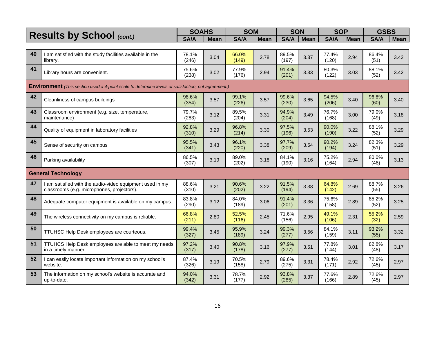|    |                                                                                                            | <b>SOAHS</b>   |             | <b>SOM</b>     |             | <b>SON</b>     |             | <b>SOP</b>     |             | <b>GSBS</b>   |             |
|----|------------------------------------------------------------------------------------------------------------|----------------|-------------|----------------|-------------|----------------|-------------|----------------|-------------|---------------|-------------|
|    | Results by School (cont.)                                                                                  | SA/A           | <b>Mean</b> | <b>SA/A</b>    | <b>Mean</b> | <b>SA/A</b>    | <b>Mean</b> | SA/A           | <b>Mean</b> | <b>SA/A</b>   | <b>Mean</b> |
|    |                                                                                                            |                |             |                |             |                |             |                |             |               |             |
| 40 | I am satisfied with the study facilities available in the<br>library.                                      | 78.1%<br>(246) | 3.04        | 66.0%<br>(149) | 2.78        | 89.5%<br>(197) | 3.37        | 77.4%<br>(120) | 2.94        | 86.4%<br>(51) | 3.42        |
| 41 | Library hours are convenient.                                                                              | 75.6%<br>(238) | 3.02        | 77.9%<br>(176) | 2.94        | 91.4%<br>(201) | 3.33        | 80.3%<br>(122) | 3.03        | 88.1%<br>(52) | 3.42        |
|    | <b>Environment</b> (This section used a 4-point scale to determine levels of satisfaction, not agreement.) |                |             |                |             |                |             |                |             |               |             |
| 42 | Cleanliness of campus buildings                                                                            | 98.6%<br>(354) | 3.57        | 99.1%<br>(226) | 3.57        | 99.6%<br>(230) | 3.65        | 94.5%<br>(206) | 3.40        | 96.8%<br>(60) | 3.40        |
| 43 | Classroom environment (e.g. size, temperature,<br>maintenance)                                             | 79.7%<br>(283) | 3.12        | 89.5%<br>(204) | 3.31        | 94.9%<br>(204) | 3.49        | 76.7%<br>(168) | 3.00        | 79.0%<br>(49) | 3.18        |
| 44 | Quality of equipment in laboratory facilities                                                              | 92.8%<br>(310) | 3.29        | 96.8%<br>(214) | 3.30        | 97.5%<br>(196) | 3.53        | 90.0%<br>(190) | 3.22        | 88.1%<br>(52) | 3.29        |
| 45 | Sense of security on campus                                                                                | 95.5%<br>(341) | 3.43        | 96.1%<br>(220) | 3.38        | 97.7%<br>(209) | 3.54        | 90.2%<br>(194) | 3.24        | 82.3%<br>(51) | 3.29        |
| 46 | Parking availability                                                                                       | 86.5%<br>(307) | 3.19        | 89.0%<br>(202) | 3.18        | 84.1%<br>(190) | 3.16        | 75.2%<br>(164) | 2.94        | 80.0%<br>(48) | 3.13        |
|    | <b>General Technology</b>                                                                                  |                |             |                |             |                |             |                |             |               |             |
| 47 | I am satisfied with the audio-video equipment used in my<br>classrooms (e.g. microphones, projectors).     | 88.6%<br>(310) | 3.21        | 90.6%<br>(202) | 3.22        | 91.5%<br>(194) | 3.38        | 64.8%<br>(142) | 2.69        | 88.7%<br>(55) | 3.26        |
| 48 | Adequate computer equipment is available on my campus.                                                     | 83.8%<br>(290) | 3.12        | 84.0%<br>(189) | 3.06        | 91.4%<br>(201) | 3.36        | 75.6%<br>(158) | 2.89        | 85.2%<br>(52) | 3.25        |
| 49 | The wireless connectivity on my campus is reliable.                                                        | 66.8%<br>(211) | 2.80        | 52.5%<br>(116) | 2.45        | 71.6%<br>(156) | 2.95        | 49.1%<br>(106) | 2.31        | 55.2%<br>(32) | 2.59        |
| 50 | TTUHSC Help Desk employees are courteous.                                                                  | 99.4%<br>(327) | 3.45        | 95.9%<br>(189) | 3.24        | 99.3%<br>(277) | 3.56        | 84.1%<br>(159) | 3.11        | 93.2%<br>(55) | 3.32        |
| 51 | TTUHCS Help Desk employees are able to meet my needs<br>in a timely manner.                                | 97.2%<br>(317) | 3.40        | 90.8%<br>(178) | 3.16        | 97.9%<br>(277) | 3.51        | 77.8%<br>(144) | 3.01        | 82.8%<br>(48) | 3.17        |
| 52 | I can easily locate important information on my school's<br>website.                                       | 87.4%<br>(326) | 3.19        | 70.5%<br>(158) | 2.79        | 89.6%<br>(275) | 3.31        | 78.4%<br>(171) | 2.92        | 72.6%<br>(45) | 2.97        |
| 53 | The information on my school's website is accurate and<br>up-to-date.                                      | 94.0%<br>(342) | 3.31        | 78.7%<br>(177) | 2.92        | 93.8%<br>(285) | 3.37        | 77.6%<br>(166) | 2.89        | 72.6%<br>(45) | 2.97        |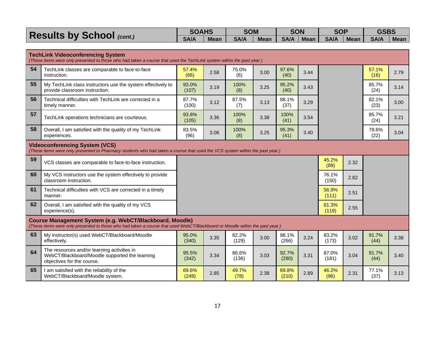| <b>Results by School (cont.)</b> | <b>SOAHS</b> |             | <b>SOM</b>  |                           | <b>SON</b> | <b>SOP</b> |      | <b>GSBS</b> |          |
|----------------------------------|--------------|-------------|-------------|---------------------------|------------|------------|------|-------------|----------|
|                                  | <b>SA/A</b>  | <b>Mean</b> | <b>SA/A</b> | Mean   SA/A   Mean   SA/A |            |            | Mean | SA/A        | $ $ Mean |

|    | <b>TechLink Videoconferencing System</b><br>(These items were only presented to those who had taken a course that used the TechLink system within the past year.)                        |                |      |                |      |                |               |                |      |               |      |
|----|------------------------------------------------------------------------------------------------------------------------------------------------------------------------------------------|----------------|------|----------------|------|----------------|---------------|----------------|------|---------------|------|
| 54 | TechLink classes are comparable to face-to-face<br>instruction.                                                                                                                          | 57.4%<br>(66)  | 2.58 | 75.0%<br>(6)   | 3.00 | 97.6%<br>(40)  | 3.44          |                |      | 57.1%<br>(16) | 2.79 |
| 55 | My TechLink class instructors use the system effectively to<br>provide classroom instruction.                                                                                            | 93.0%<br>(107) | 3.19 | 100%<br>(8)    | 3.25 | 95.2%<br>(40)  | 3.43          |                |      | 85.7%<br>(24) | 3.14 |
| 56 | Technical difficulties with TechLink are corrected in a<br>timely manner.                                                                                                                | 87.7%<br>(100) | 3.12 | 87.5%<br>(7)   | 3.13 | 88.1%<br>(37)  | 3.29          |                |      | 82.1%<br>(23) | 3.00 |
| 57 | TechLink operations technicians are courteous.                                                                                                                                           | 93.8%<br>(105) | 3.36 | 100%<br>(8)    | 3.38 | 100%<br>(41)   | 3.54          |                |      | 85.7%<br>(24) | 3.21 |
| 58 | Overall, I am satisfied with the quality of my TechLink<br>experiences.                                                                                                                  | 83.5%<br>(96)  | 3.06 | 100%<br>(8)    | 3.25 | 95.3%<br>(41)  | 3.40          |                |      | 78.6%<br>(22) | 3.04 |
|    | <b>Videoconferencing System (VCS)</b><br>(These items were only presented to Pharmacy students who had taken a course that used the VCS system within the past year.)                    |                |      |                |      |                |               |                |      |               |      |
| 59 | VCS classes are comparable to face-to-face instruction.                                                                                                                                  |                |      |                |      |                | 45.2%<br>(89) | 2.32           |      |               |      |
| 60 | My VCS instructors use the system effectively to provide<br>classroom instruction.                                                                                                       |                |      |                |      |                |               | 76.1%<br>(150) | 2.82 |               |      |
| 61 | Technical difficulties with VCS are corrected in a timely<br>manner.                                                                                                                     |                |      |                |      |                |               | 56.9%<br>(111) | 2.51 |               |      |
| 62 | Overall, I am satisfied with the quality of my VCS<br>experience(s).                                                                                                                     |                |      |                |      |                |               | 61.3%<br>(119) | 2.55 |               |      |
|    | Course Management System (e.g. WebCT/Blackboard, Moodle)<br>(These items were only presented to those who had taken a course that used WebCT/Blackboard or Moodle within the past year.) |                |      |                |      |                |               |                |      |               |      |
| 63 | My instructor(s) used WebCT/Blackboard/Moodle<br>effectively.                                                                                                                            | 95.0%<br>(340) | 3.35 | 82.2%<br>(129) | 3.00 | 88.1%<br>(266) | 3.24          | 83.2%<br>(173) | 3.02 | 91.7%<br>(44) | 3.38 |
| 64 | The resources and/or learning activities in<br>WebCT/Blackboard/Moodle supported the learning<br>objectives for the course.                                                              | 95.5%<br>(342) | 3.34 | 86.6%<br>(136) | 3.03 | 92.7%<br>(280) | 3.31          | 87.0%<br>(181) | 3.04 | 91.7%<br>(44) | 3.40 |
| 65 | I am satisfied with the reliability of the<br>WebCT/Blackboard/Moodle system.                                                                                                            | 69.6%<br>(249) | 2.85 | 49.7%<br>(78)  | 2.38 | 69.8%<br>(210) | 2.89          | 46.2%<br>(96)  | 2.31 | 77.1%<br>(37) | 3.13 |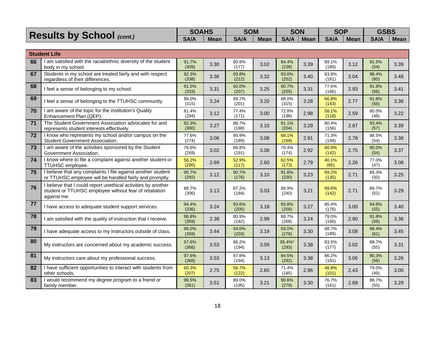| <b>Results by School (cont.)</b> | <b>SOAHS</b> |             | <b>SOM</b>  |                    | <b>SON</b> | <b>SOP</b>  |      | <b>GSBS</b> |      |
|----------------------------------|--------------|-------------|-------------|--------------------|------------|-------------|------|-------------|------|
|                                  | <b>SA/A</b>  | <b>Mean</b> | <b>SA/A</b> | Mean   SA/A   Mean |            | <b>SA/A</b> | Mean | <b>SA/A</b> | Mean |

|    | <b>Student Life</b>                                                                                                                    |                |      |                |      |                             |      |                |      |               |      |
|----|----------------------------------------------------------------------------------------------------------------------------------------|----------------|------|----------------|------|-----------------------------|------|----------------|------|---------------|------|
| 66 | am satisfied with the racial/ethnic diversity of the student<br>body in my school.                                                     | 91.7%<br>(309) | 3.30 | 80.8%<br>(177) | 3.02 | 94.4%<br>(238)              | 3.39 | 89.1%<br>(180) | 3.12 | 91.5%<br>(54) | 3.39 |
| 67 | Students in my school are treated fairly and with respect<br>regardless of their differences.                                          | 92.3%<br>(338) | 3.36 | 93.8%<br>(212) | 3.32 | 93.0%<br>(252)              | 3.40 | 83.8%<br>(181) | 3.04 | 98.4%<br>(60) | 3.48 |
| 68 | I feel a sense of belonging to my school.                                                                                              | 91.5%<br>(333) | 3.31 | 92.0%<br>(207) | 3.25 | 90.7%<br>(255)              | 3.31 | 77.6%<br>(166) | 2.93 | 91.8%<br>(56) | 3.41 |
| 69 | I feel a sense of belonging to the TTUHSC community.                                                                                   | 88.0%<br>(315) | 3.24 | 89.7%<br>(201) | 3.20 | 88.0%<br>(315)              | 3.28 | 66.8%<br>(143) | 2.77 | 91.8%<br>(56) | 3.38 |
| 70 | I am aware of the topic for the institution's Quality<br>Enhancement Plan (QEP).                                                       | 81.4%<br>(294) | 3.12 | 77.4%<br>(171) | 3.00 | 72.8%<br>(198)              | 2.98 | 58.1%<br>(118) | 2.59 | 80.0%<br>(48) | 3.22 |
| 71 | The Student Government Association advocates for and<br>represents student interests effectively.                                      | 92.3%<br>(300) | 3.27 | 88.7%<br>(188) | 3.10 | 91.1%<br>(204)              | 3.29 | 80.4%<br>(156) | 2.87 | 93.4%<br>(57) | 3.39 |
| 72 | I know who represents my school and/or campus on the<br>Student Government Association.                                                | 77.6%<br>(274) | 3.06 | 85.9%<br>(189) | 3.08 | 68.1%<br>(169)              | 2.91 | 71.3%<br>(149) | 2.78 | 88.5%<br>(54) | 3.38 |
| 73 | I am aware of the activities sponsored by the Student<br>Government Association.                                                       | 76.6%<br>(269) | 3.02 | 86.8%<br>(191) | 3.08 | 70.4%<br>(174)              | 2.92 | 68.9%<br>(142) | 2.75 | 90.0%<br>(54) | 3.37 |
| 74 | I know where to file a complaint against another student or<br>TTUHSC employee.                                                        | 56.2%<br>(200) | 2.69 | 52.9%<br>(117) | 2.60 | 62.5%<br>(173)              | 2.79 | 40.1%<br>(85)  | 2.26 | 77.0%<br>(47) | 3.08 |
| 75 | I believe that any complaints I file against another student<br>or TTUHSC employee will be handled fairly and promptly.                | 90.7%<br>(292) | 3.12 | 90.7%<br>(176) | 3.10 | 91.6%<br>(230)              | 3.23 | 69.2%<br>(135) | 2.71 | 89.3%<br>(50) | 3.25 |
| 76 | I believe that I could report unethical activities by another<br>student or TTUHSC employee without fear of retaliation<br>against me. | 88.7%<br>(306) | 3.13 | 87.2%<br>(184) | 3.03 | 89.9%<br>(240)              | 3.21 | 69.6%<br>(142) | 2.71 | 89.7%<br>(52) | 3.29 |
| 77 | I have access to adequate student support services.                                                                                    | 94.4%<br>(336) | 3.24 | 93.6%<br>(205) | 3.18 | 93.8%<br>(258)              | 3.27 | 85.4%<br>(176) | 3.00 | 94.8%<br>(55) | 3.40 |
| 78 | I am satisfied with the quality of instruction that I receive.                                                                         | 96.8%<br>(359) | 2.38 | 80.9%<br>(182) | 2.99 | 88.7%<br>(268)              | 3.24 | 79.0%<br>(166) | 2.90 | 91.8%<br>(56) | 3.36 |
| 79 | I have adequate access to my instructors outside of class.                                                                             | 96.0%<br>(359) | 3.44 | 94.0%<br>(203) | 3.19 | 93.0%<br>(278)              | 3.30 | 88.7%<br>(188) | 3.08 | 98.4%<br>(61) | 3.45 |
| 80 | My instructors are concerned about my academic success.                                                                                | 97.6%<br>(366) | 3.53 | 86.2%<br>(194) | 3.09 | 95.4% <sup>R</sup><br>(293) | 3.38 | 83.5%<br>(177) | 3.02 | 88.7%<br>(55) | 3.31 |
| 81 | My instructors care about my professional success.                                                                                     | 97.6%<br>(368) | 3.53 | 87.8%<br>(194) | 3.13 | 94.5%<br>(292)              | 3.38 | 86.2%<br>(181) | 3.06 | 90.3%<br>(56) | 3.26 |
| 82 | I have sufficient opportunities to interact with students from<br>other schools.                                                       | 60.3%<br>(207) | 2.75 | 56.7%<br>(122) | 2.60 | 71.4%<br>(185)              | 2.96 | 48.8%<br>(101) | 2.43 | 79.0%<br>(49) | 3.00 |
| 83 | I would recommend my degree program to a friend or<br>family member.                                                                   | 96.5%<br>(361) | 3.51 | 89.0%<br>(195) | 3.21 | 90.6%<br>(278)              | 3.30 | 76.7%<br>(161) | 2.89 | 88.7%<br>(55) | 3.29 |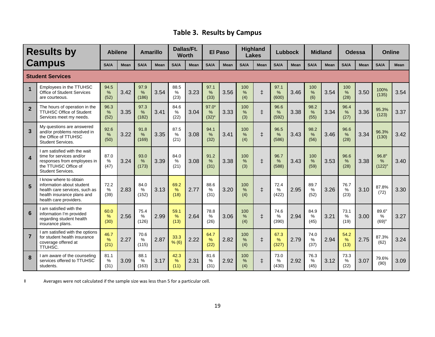# **Table 3. Results by Campus**

|                         | <b>Results by</b>                                                                                                                            |                               | <b>Abilene</b> |                                | <b>Amarillo</b> |                               | Dallas/Ft.<br><b>Worth</b> | <b>El Paso</b>                |             |                             | <b>Highland</b><br><b>Lakes</b> |                       | Lubbock     |                               | <b>Midland</b> |                     | Odessa      | <b>Online</b>                            |             |
|-------------------------|----------------------------------------------------------------------------------------------------------------------------------------------|-------------------------------|----------------|--------------------------------|-----------------|-------------------------------|----------------------------|-------------------------------|-------------|-----------------------------|---------------------------------|-----------------------|-------------|-------------------------------|----------------|---------------------|-------------|------------------------------------------|-------------|
|                         | <b>Campus</b>                                                                                                                                | <b>SA/A</b>                   | <b>Mean</b>    | <b>SA/A</b>                    | <b>Mean</b>     | <b>SA/A</b>                   | <b>Mean</b>                | <b>SA/A</b>                   | <b>Mean</b> | <b>SA/A</b>                 | <b>Mean</b>                     | <b>SA/A</b>           | <b>Mean</b> | <b>SA/A</b>                   | <b>Mean</b>    | <b>SA/A</b>         | <b>Mean</b> | <b>SA/A</b>                              | <b>Mean</b> |
|                         | <b>Student Services</b>                                                                                                                      |                               |                |                                |                 |                               |                            |                               |             |                             |                                 |                       |             |                               |                |                     |             |                                          |             |
| $\overline{\mathbf{1}}$ | Emplovees in the TTUHSC<br><b>Office of Student Services</b><br>are courteous.                                                               | 94.5<br>$\frac{0}{0}$<br>(52) | 3.42           | 97.9<br>%<br>(186)             | 3.54            | 88.5<br>$\%$<br>(23)          | 3.23                       | 97.1<br>$\frac{0}{0}$<br>(33) | 3.56        | 100<br>$\frac{0}{0}$<br>(4) | $\ddagger$                      | 97.1<br>%<br>(600)    | 3.46        | 100<br>%<br>(6)               | 3.54           | 100<br>$\%$<br>(28) | 3.50        | 100%<br>(135)                            | 3.54        |
| $\overline{2}$          | The hours of operation in the<br><b>TTUHSC Office of Student</b><br>Services meet my needs.                                                  | 96.3<br>$\frac{0}{0}$<br>(52) | 3.35           | 97.3<br>%<br>(182)             | 3.41            | 84.6<br>%<br>(22)             | 3.04                       | $97.0^R$<br>%<br>$(32)^{R}$   | 3.33        | 100<br>%<br>(3)             | $\ddagger$                      | 96.6<br>%<br>(592)    | 3.38        | 98.2<br>%<br>(55)             | 3.34           | 96.4<br>%<br>(27)   | 3.36        | 95.3%<br>(123)                           | 3.37        |
| $\overline{3}$          | My questions are answered<br>and/or problems resolved in<br>the Office of TTUHSC<br><b>Student Services.</b>                                 | 92.6<br>%<br>(50)             | 3.22           | 91.8<br>%<br>(169)             | 3.35            | 87.5<br>%<br>(21)             | 3.08                       | 94.1<br>$\frac{0}{0}$<br>(32) | 3.41        | 100<br>%<br>(4)             | $\ddagger$                      | 96.5<br>%<br>(586)    | 3.43        | 98.2<br>%<br>(56)             | 3.46           | 96.6<br>%<br>(28)   | 3.34        | 96.3%<br>(130)                           | 3.42        |
| $\boldsymbol{4}$        | I am satisfied with the wait<br>time for services and/or<br>responses from employees in<br>the TTUHSC Office of<br><b>Student Services.</b>  | 87.0<br>$\frac{0}{0}$<br>(47) | 3.24           | 93.0<br>%<br>(173)             | 3.39            | 84.0<br>$\frac{0}{0}$<br>(21) | 3.08                       | 91.2<br>$\frac{0}{0}$<br>(31) | 3.38        | 100<br>$\frac{0}{0}$<br>(3) | $\ddagger$                      | 96.7<br>$\%$<br>(588) | 3.43        | 100<br>$\%$<br>(59)           | 3.53           | 96.6<br>%<br>(28)   | 3.38        | 96.8 <sup>R</sup><br>$\%$<br>$(122)^{R}$ | 3.40        |
| 5                       | I know where to obtain<br>information about student<br>health care services, such as<br>health insurance plans and<br>health care providers. | 72.2<br>$\frac{0}{0}$<br>(39) | 2.83           | 84.0<br>%<br>(152)             | 3.13            | 69.2<br>%<br>(18)             | 2.77                       | 88.6<br>$\frac{0}{0}$<br>(31) | 3.20        | 100<br>%<br>(4)             | $\ddagger$                      | 72.4<br>%<br>(422)    | 2.95        | 89.7<br>%<br>(52)             | 3.26           | 76.7<br>%<br>(23)   | 3.10        | 87.8%<br>(72)                            | 3.30        |
| 6                       | I am satisfied with the<br>information I'm provided<br>regarding student health<br>insurance plans.                                          | 60.0<br>$\%$<br>(30)          | 2.56           | 75.4<br>%<br>(126)             | 2.99            | 59.1<br>%<br>(13)             | 2.64                       | 78.8<br>%<br>(26)             | 3.06        | 100<br>$\%$<br>(4)          | $\ddagger$                      | 74.6<br>%<br>(390)    | 2.94        | 84.9<br>%<br>(45)             | 3.21           | 73.1<br>%<br>(19)   | 3.00        | 89.6 <sup>R</sup><br>$\%$<br>$(69)^R$    | 3.27        |
| $\overline{7}$          | I am satisfied with the options<br>for student health insurance<br>coverage offered at<br>TTUHSC.                                            | 46.7<br>%<br>(21)             | 2.27           | 70.6<br>$\frac{0}{0}$<br>(115) | 2.87            | 33.3<br>% (6)                 | 2.22                       | 64.7<br>%<br>(22)             | 2.82        | 100<br>$\frac{9}{6}$<br>(4) | $\ddagger$                      | 67.3<br>$\%$<br>(327) | 2.79        | 74.0<br>$\%$<br>(37)          | 2.94           | 54.2<br>%<br>(13)   | 2.75        | 87.3%<br>(62)                            | 3.24        |
|                         | I am aware of the counseling<br>services offered to TTUHSC<br>students.                                                                      | 81.1<br>$\frac{0}{0}$<br>(31) | 3.09           | 88.1<br>$\frac{0}{0}$<br>(163) | 3.17            | 42.3<br>$\frac{9}{6}$<br>(11) | 2.31                       | 81.6<br>$\frac{0}{0}$<br>(31) | 2.92        | 100<br>$\frac{0}{0}$<br>(4) | $\ddagger$                      | 73.0<br>%<br>(430)    | 2.92        | 76.3<br>$\frac{0}{0}$<br>(45) | 3.12           | 73.3<br>%<br>(22)   | 3.07        | 79.6%<br>(90)                            | 3.09        |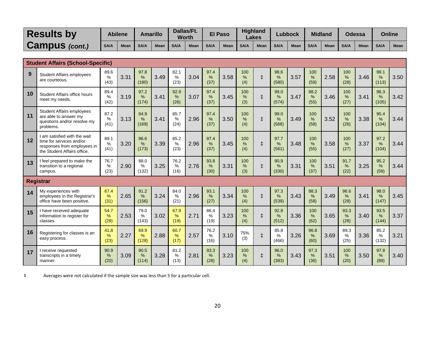|    | <b>Results by</b>                                                                                                      |                      | <b>Abilene</b> |                       | <b>Amarillo</b> |                               | Dallas/Ft.<br><b>Worth</b> |                               | <b>El Paso</b> |                             | <b>Highland</b><br><b>Lakes</b> |                       | <b>Lubbock</b> |                   | <b>Midland</b> |                               | <b>Odessa</b> |                       | <b>Online</b> |
|----|------------------------------------------------------------------------------------------------------------------------|----------------------|----------------|-----------------------|-----------------|-------------------------------|----------------------------|-------------------------------|----------------|-----------------------------|---------------------------------|-----------------------|----------------|-------------------|----------------|-------------------------------|---------------|-----------------------|---------------|
|    | Campus (cont.)                                                                                                         | <b>SA/A</b>          | <b>Mean</b>    | SA/A                  | <b>Mean</b>     | <b>SA/A</b>                   | <b>Mean</b>                | <b>SA/A</b>                   | <b>Mean</b>    | <b>SA/A</b>                 | <b>Mean</b>                     | SA/A                  | <b>Mean</b>    | <b>SA/A</b>       | <b>Mean</b>    | <b>SA/A</b>                   | Mean          | <b>SA/A</b>           | <b>Mean</b>   |
|    | <b>Student Affairs (School-Specific)</b>                                                                               |                      |                |                       |                 |                               |                            |                               |                |                             |                                 |                       |                |                   |                |                               |               |                       |               |
| 9  | <b>Student Affairs employees</b><br>are courteous.                                                                     | 89.6<br>%<br>(43)    | 3.31           | 97.8<br>%<br>(180)    | 3.49            | 82.1<br>%<br>(23)             | 3.04                       | 97.4<br>%<br>(37)             | 3.58           | 100<br>%<br>(4)             | $\ddagger$                      | 98.6<br>%<br>(580)    | 3.57           | 100<br>%<br>(59)  | 2.58           | 100<br>%<br>(28)              | 3.46          | 99.1<br>%<br>(113)    | 3.50          |
| 10 | Student Affairs office hours<br>meet my needs.                                                                         | 89.4<br>$\%$<br>(42) | 3.19           | 97.2<br>$\%$<br>(174) | 3.41            | 92.9<br>%<br>(26)             | 3.07                       | 97.4<br>%<br>(37)             | 3.45           | 100<br>$\frac{9}{6}$<br>(3) | $\ddagger$                      | 99.0<br>%<br>(574)    | 3.47           | 98.2<br>%<br>(55) | 3.46           | 100<br>%<br>(27)              | 3.41          | 96.3<br>$\%$<br>(105) | 3.42          |
| 11 | Student Affairs employees<br>are able to answer my<br>questions and/or resolve my<br>problems.                         | 87.2<br>$\%$<br>(41) | 3.13           | 94.9<br>$\%$<br>(169) | 3.41            | 85.7<br>%<br>(24)             | 2.96                       | 97.4<br>$\frac{0}{0}$<br>(37) | 3.50           | 100<br>%<br>(4)             | $\ddagger$                      | 99.0<br>$\%$<br>(568) | 3.49           | 100<br>%<br>(58)  | 3.52           | 100<br>%<br>(26)              | 3.38          | 95.4<br>$\%$<br>(104) | 3.44          |
| 12 | I am satisfied with the wait<br>time for services and/or<br>responses from employees in<br>the Student Affairs office. | 89.1<br>$\%$<br>(41) | 3.20           | 96.6<br>$\%$<br>(173) | 3.39            | 85.2<br>%<br>(23)             | 2.96                       | 97.4<br>%<br>(37)             | 3.45           | 100<br>$\frac{9}{6}$<br>(4) | $\ddagger$                      | 97.7<br>$\%$<br>(561) | 3.48           | 100<br>%<br>(55)  | 3.58           | 100<br>%<br>(27)              | 3.37          | 97.2<br>$\%$<br>(104) | 3.44          |
| 13 | I feel prepared to make the<br>transition to a regional<br>campus.                                                     | 76.7<br>%<br>(23)    | 2.90           | 88.0<br>%<br>(132)    | 3.25            | 76.2<br>%<br>(16)             | 2.76                       | 93.8<br>%<br>(30)             | 3.31           | 100<br>%<br>(3)             | $\ddagger$                      | 90.9<br>%<br>(330)    | 3.31           | 100<br>%<br>(37)  | 3.51           | 91.7<br>%<br>(22)             | 3.25          | 95.2<br>%<br>(59)     | 3.44          |
|    | <b>Registrar</b>                                                                                                       |                      |                |                       |                 |                               |                            |                               |                |                             |                                 |                       |                |                   |                |                               |               |                       |               |
| 14 | My experiences with<br>employees in the Registrar's<br>office have been positive.                                      | 67.4<br>%<br>(31)    | 2.65           | 91.2<br>%<br>(156)    | 3.24            | 84.0<br>%<br>(21)             | 2.96                       | 93.1<br>%<br>(27)             | 3.34           | 100<br>%<br>(4)             | $\ddagger$                      | 97.3<br>%<br>(539)    | 3.43           | 98.3<br>%<br>(58) | 3.49           | 96.6<br>$\frac{9}{6}$<br>(28) | 3.41          | 98.0<br>%<br>(147)    | 3.45          |
| 15 | I have received adequate<br>information to register for<br>classes.                                                    | 54.7<br>%<br>(29)    | 2.53           | 79.0<br>%<br>(143)    | 3.02            | 67.9<br>%<br>(19)             | 2.71                       | 86.4<br>%<br>(19)             | 3.23           | 100<br>%<br>(4)             | $\ddagger$                      | 92.8<br>%<br>(512)    | 3.36           | 100<br>%<br>(62)  | 3.65           | 93.3<br>%<br>(28)             | 3.40          | 93.5<br>%<br>(144)    | 3.37          |
| 16 | Registering for classes is an<br>easy process.                                                                         | 41.8<br>%<br>(23)    | 2.27           | 69.9<br>%<br>(128)    | 2.88            | 60.7<br>$\frac{9}{6}$<br>(17) | 2.57                       | 76.2<br>$\%$<br>(16)          | 3.10           | 75%<br>(3)                  | $\ddagger$                      | 85.8<br>$\%$<br>(466) | 3.26           | 96.8<br>%<br>(60) | 3.69           | 89.3<br>%<br>(25)             | 3.36          | 85.2<br>$\%$<br>(132) | 3.21          |
| 17 | I receive requested<br>transcripts in a timely<br>manner.                                                              | 90.9<br>%<br>(20)    | 3.09           | 90.5<br>%<br>(114)    | 3.28            | 81.2<br>%<br>(13)             | 2.81                       | 93.3<br>%<br>(28)             | 3.23           | 100<br>%<br>(4)             | $\ddagger$                      | 96.0<br>%<br>(383)    | 3.43           | 97.3<br>%<br>(36) | 3.51           | 100<br>%<br>(20)              | 3.50          | 97.8<br>$\%$<br>(89)  | 3.40          |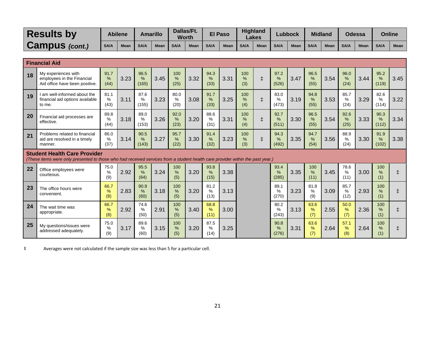| <b>Results by</b>     |             | <b>Abilene</b> | <b>Amarillo</b> |      |             | Dallas/Ft.<br><b>Worth</b> |             | <b>El Paso</b> |             | <b>Highland</b><br>Lakes |             | ubbock.     |             | <b>Midland</b> | <b>Odessa</b> |             | Online      |             |
|-----------------------|-------------|----------------|-----------------|------|-------------|----------------------------|-------------|----------------|-------------|--------------------------|-------------|-------------|-------------|----------------|---------------|-------------|-------------|-------------|
| <b>Campus</b> (cont.) | <b>SA/A</b> | Mean           | <b>SA/A</b>     | Mean | <b>SA/A</b> | <b>Mean</b>                | <b>SA/A</b> | <b>Mean</b>    | <b>SA/A</b> | <b>Mean</b>              | <b>SA/A</b> | <b>Mean</b> | <b>SA/A</b> | <b>Mean</b>    | <b>SA/A</b>   | <b>Mean</b> | <b>SA/A</b> | <b>Mean</b> |

|    | <b>Financial Aid</b>                                                                                                                                                  |                               |      |                    |      |                    |      |                      |      |                    |            |                                |      |                     |      |                     |      |                                |            |
|----|-----------------------------------------------------------------------------------------------------------------------------------------------------------------------|-------------------------------|------|--------------------|------|--------------------|------|----------------------|------|--------------------|------------|--------------------------------|------|---------------------|------|---------------------|------|--------------------------------|------------|
| 18 | My experiences with<br>employees in the Financial<br>Aid office have been positive.                                                                                   | 91.7<br>$\frac{9}{6}$<br>(44) | 3.23 | 96.5<br>%<br>(165) | 3.45 | 100<br>%<br>(25)   | 3.32 | 94.3<br>$\%$<br>(33) | 3.31 | 100<br>$\%$<br>(3) | $\ddagger$ | 97.2<br>%<br>(526)             | 3.47 | 96.5<br>%<br>(55)   | 3.54 | 96.0<br>%<br>(24)   | 3.44 | 95.2<br>$\frac{9}{6}$<br>(119) | 3.45       |
| 19 | I am well-informed about the<br>financial aid options available<br>to me.                                                                                             | 81.1<br>$\%$<br>(43)          | 3.11 | 87.6<br>%<br>(155) | 3.23 | 80.0<br>%<br>(20)  | 3.08 | 91.7<br>%<br>(33)    | 3.25 | 100<br>%<br>(4)    | $\ddagger$ | 83.0<br>$\%$<br>(473)          | 3.19 | 94.8<br>%<br>(55)   | 3.53 | 85.7<br>%<br>(24)   | 3.29 | 82.6<br>$\%$<br>(114)          | 3.22       |
| 20 | Financial aid processes are<br>effective.                                                                                                                             | 89.8<br>%<br>(44)             | 3.18 | 89.0<br>%<br>(153) | 3.26 | 92.0<br>%<br>(23)  | 3.20 | 88.6<br>%<br>(31)    | 3.31 | 100<br>%<br>(4)    | $\ddagger$ | 92.7<br>%<br>(511)             | 3.30 | 96.5<br>%<br>(55)   | 3.54 | 92.6<br>%<br>(25)   | 3.33 | 90.3<br>%<br>(112)             | 3.34       |
| 21 | Problems related to financial<br>aid are resolved in a timely<br>manner.                                                                                              | 86.0<br>$\%$<br>(37)          | 3.14 | 90.5<br>%<br>(143) | 3.27 | 95.7<br>%<br>(22)  | 3.30 | 91.4<br>%<br>(32)    | 3.23 | 100<br>$\%$<br>(3) | $\ddagger$ | 94.3<br>%<br>(492)             | 3.35 | 94.7<br>%<br>(54)   | 3.56 | 88.9<br>%<br>(24)   | 3.30 | 91.9<br>%<br>(102)             | 3.38       |
|    | <b>Student Health Care Provider</b><br>(These items were only presented to those who had received services from a student health care provider within the past year.) |                               |      |                    |      |                    |      |                      |      |                    |            |                                |      |                     |      |                     |      |                                |            |
| 22 | Office employees were<br>courteous.                                                                                                                                   | 75.0<br>$\frac{0}{0}$<br>(9)  | 2.92 | 95.5<br>%<br>(64)  | 3.24 | 100<br>%<br>(5)    | 3.20 | 93.8<br>$\%$<br>(15) | 3.38 |                    |            | 93.4<br>$\frac{0}{0}$<br>(285) | 3.35 | 100<br>$\%$<br>(11) | 3.45 | 78.6<br>%<br>(11)   | 3.00 | 100<br>$\frac{9}{6}$<br>(1)    | $\ddagger$ |
| 23 | The office hours were<br>convenient.                                                                                                                                  | 66.7<br>%<br>(8)              | 2.83 | 90.9<br>%<br>(60)  | 3.18 | 100<br>%<br>(5)    | 3.20 | 81.2<br>%<br>(13)    | 3.13 |                    |            | 89.1<br>%<br>(270)             | 3.23 | 81.8<br>%<br>(9)    | 3.09 | 85.7<br>%<br>(12)   | 2.93 | 100<br>$\%$<br>(1)             | $\ddagger$ |
| 24 | The wait time was<br>appropriate.                                                                                                                                     | 66.7<br>%<br>(8)              | 2.92 | 74.6<br>%<br>(50)  | 2.91 | 100<br>%<br>(5)    | 3.40 | 68.8<br>%<br>(11)    | 3.00 |                    |            | 80.2<br>%<br>(243)             | 3.13 | 63.6<br>%<br>(7)    | 2.55 | 50.0<br>$\%$<br>(7) | 2.36 | 100<br>$\%$<br>(1)             | $\ddagger$ |
| 25 | My questions/issues were<br>addressed adequately.                                                                                                                     | 75.0<br>%<br>(9)              | 3.17 | 89.6<br>%<br>(60)  | 3.15 | 100<br>$\%$<br>(5) | 3.20 | 87.5<br>%<br>(14)    | 3.25 |                    |            | 90.8<br>%<br>(276)             | 3.31 | 63.6<br>%<br>(7)    | 2.64 | 57.1<br>%<br>(8)    | 2.64 | 100<br>$\%$<br>(1)             | $\ddagger$ |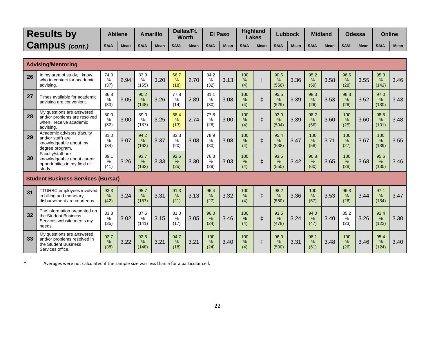| <b>Results</b>           | <b>Abilene</b> |             | Amarillo    |             | Dallas/Ft.<br><b>Worth</b> |             | <b>El Paso</b> |             | <b>Highland</b><br>Lakes |             | -ubbock     |      | <b>Midland</b> |             | <b>Odessa</b> |             | <b>Online</b> |      |
|--------------------------|----------------|-------------|-------------|-------------|----------------------------|-------------|----------------|-------------|--------------------------|-------------|-------------|------|----------------|-------------|---------------|-------------|---------------|------|
| <b>Campus</b><br>(cont.) | <b>SA/A</b>    | <b>Mean</b> | <b>SA/A</b> | <b>Mean</b> | <b>SA/A</b>                | <b>Mean</b> | <b>SA/A</b>    | <b>Mean</b> | <b>SA/A</b>              | <b>Mean</b> | <b>SA/A</b> | Mean | <b>SA/A</b>    | <b>Mean</b> | <b>SA/A</b>   | <b>Mean</b> | <b>SA/A</b>   | Mean |

|    | <b>Advising/Mentoring</b>                                                                            |                               |      |                       |      |                      |      |                      |      |                    |            |                                |      |                              |      |                               |      |                                |      |
|----|------------------------------------------------------------------------------------------------------|-------------------------------|------|-----------------------|------|----------------------|------|----------------------|------|--------------------|------------|--------------------------------|------|------------------------------|------|-------------------------------|------|--------------------------------|------|
| 26 | In my area of study, I know<br>who to contact for academic<br>advising.                              | 74.0<br>%<br>(37)             | 2.94 | 83.3<br>$\%$<br>(155) | 3.20 | 66.7<br>%<br>(18)    | 2.70 | 84.2<br>%<br>(32)    | 3.13 | 100<br>$\%$<br>(4) | $\ddagger$ | 90.6<br>%<br>(556)             | 3.36 | 95.2<br>%<br>(59)            | 3.58 | 96.6<br>$\%$<br>(28)          | 3.55 | 95.3<br>$\%$<br>(142)          | 3.46 |
| 27 | Times available for academic<br>advising are convenient.                                             | 86.8<br>%<br>(33)             | 3.05 | 90.2<br>$\%$<br>(148) | 3.26 | 77.8<br>%<br>(14)    | 2.89 | 81.1<br>%<br>(30)    | 3.08 | 100<br>$\%$<br>(4) | $\ddagger$ | 95.5<br>%<br>(529)             | 3.39 | 98.3<br>$\%$<br>(26)         | 3.53 | 96.3<br>%<br>(26)             | 3.52 | 97.0<br>%<br>(130)             | 3.43 |
| 28 | My questions are answered<br>and/or problems are resolved<br>when I receive academic<br>advising.    | 80.0<br>$\%$<br>(32)          | 3.00 | 89.0<br>$\%$<br>(137) | 3.25 | 68.4<br>%<br>(13)    | 2.74 | 77.8<br>%<br>(28)    | 3.00 | 100<br>%<br>(4)    | $\ddagger$ | 93.9<br>%<br>(504)             | 3.39 | 98.2<br>%<br>(56)            | 3.60 | 100<br>%<br>(25)              | 3.60 | 98.5<br>%<br>(131)             | 3.48 |
| 29 | Academic advisors (faculty<br>and/or staff) are<br>knowledgeable about my<br>degree program.         | 81.0<br>$\%$<br>(34)          | 3.07 | 94.2<br>$\%$<br>(162) | 3.37 | 83.3<br>$\%$<br>(20) | 3.08 | 78.9<br>$\%$<br>(30) | 3.08 | 100<br>$\%$<br>(4) | $\ddagger$ | 95.4<br>$\frac{9}{6}$<br>(538) | 3.47 | 100<br>$\frac{9}{6}$<br>(58) | 3.71 | 100<br>%<br>(27)              | 3.67 | 100<br>$\%$<br>(139)           | 3.55 |
| 30 | Faculty/staff are<br>knowledgeable about career<br>opportunities in my field of<br>study.            | 89.1<br>$\%$<br>(41)          | 3.26 | 93.7<br>$\%$<br>(163) | 3.33 | 92.6<br>$\%$<br>(25) | 3.30 | 76.3<br>$\%$<br>(29) | 3.03 | 100<br>$\%$<br>(4) | $\ddagger$ | 93.5<br>$\frac{9}{6}$<br>(550) | 3.42 | 96.8<br>$\%$<br>(60)         | 3.65 | 100<br>%<br>(28)              | 3.68 | 95.6<br>$\%$<br>(130)          | 3.46 |
|    | <b>Student Business Services (Bursar)</b>                                                            |                               |      |                       |      |                      |      |                      |      |                    |            |                                |      |                              |      |                               |      |                                |      |
| 31 | TTUHSC employees involved<br>in billing and monetary<br>disbursement are courteous.                  | 93.3<br>$\frac{9}{6}$<br>(42) | 3.24 | 95.7<br>%<br>(157)    | 3.31 | 91.3<br>%<br>(21)    | 3.13 | 96.4<br>%<br>(27)    | 3.32 | 100<br>$\%$<br>(4) | $\ddagger$ | 98.2<br>%<br>(550)             | 3.36 | 100<br>$\%$<br>(57)          | 3.53 | 96.3<br>$\frac{9}{6}$<br>(26) | 3.44 | 97.1<br>$\frac{0}{0}$<br>(134) | 3.47 |
| 32 | The information presented on<br>the Student Business<br>Services website meets my<br>needs.          | 83.3<br>$\%$<br>(35)          | 3.02 | 87.6<br>$\%$<br>(141) | 3.15 | 81.0<br>%<br>(17)    | 3.05 | 96.0<br>%<br>(24)    | 3.46 | 100<br>$\%$<br>(4) | $\ddagger$ | 93.5<br>%<br>(478)             | 3.24 | 94.0<br>$\%$<br>(47)         | 3.40 | 85.2<br>%<br>(23)             | 3.26 | 92.4<br>$\%$<br>(122)          | 3.30 |
| 33 | My questions are answered<br>and/or problems resolved in<br>the Student Business<br>Services office. | 92.7<br>%<br>(38)             | 3.22 | 92.5<br>$\%$<br>(148) | 3.21 | 94.7<br>%<br>(18)    | 3.21 | 100<br>$\%$<br>(24)  | 3.40 | 100<br>%<br>(4)    | $\ddagger$ | 96.0<br>%<br>(500)             | 3.31 | 98.1<br>$\%$<br>(51)         | 3.48 | 100<br>%<br>(26)              | 3.46 | 95.4<br>$\%$<br>(124)          | 3.40 |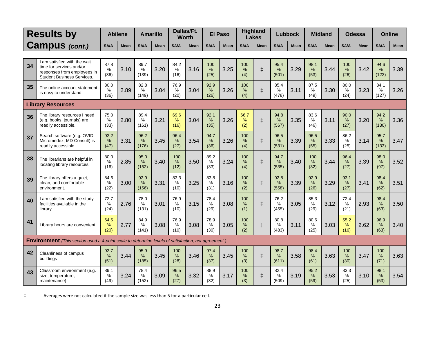|    | <b>Results by</b>                                                                                                            |                               | <b>Abilene</b> |                                | <b>Amarillo</b> |                      | Dallas/Ft.<br><b>Worth</b> |                      | <b>El Paso</b> |                     | <b>Highland</b><br><b>Lakes</b> |                       | Lubbock |                      | <b>Midland</b> |                     | Odessa |                       | <b>Online</b> |
|----|------------------------------------------------------------------------------------------------------------------------------|-------------------------------|----------------|--------------------------------|-----------------|----------------------|----------------------------|----------------------|----------------|---------------------|---------------------------------|-----------------------|---------|----------------------|----------------|---------------------|--------|-----------------------|---------------|
|    | <b>Campus</b> (cont.)                                                                                                        | <b>SA/A</b>                   | Mean           | SA/A                           | <b>Mean</b>     | <b>SA/A</b>          | Mean                       | SA/A                 | Mean           | <b>SA/A</b>         | Mean                            | SA/A                  | Mean    | <b>SA/A</b>          | Mean           | SA/A                | Mean   | <b>SA/A</b>           | Mean          |
|    |                                                                                                                              |                               |                |                                |                 |                      |                            |                      |                |                     |                                 |                       |         |                      |                |                     |        |                       |               |
| 34 | I am satisfied with the wait<br>time for services and/or<br>responses from employees in<br><b>Student Business Services.</b> | 87.8<br>$\%$<br>(36)          | 3.10           | 89.7<br>%<br>(139)             | 3.20            | 84.2<br>%<br>(16)    | 3.16                       | 100<br>%<br>(25)     | 3.25           | 100<br>%<br>(4)     | $\ddagger$                      | 95.4<br>$\%$<br>(501) | 3.29    | 98.1<br>%<br>(53)    | 3.44           | 100<br>$\%$<br>(26) | 3.42   | 94.6<br>$\%$<br>(122) | 3.39          |
| 35 | The online account statement<br>is easy to understand.                                                                       | 80.0<br>%<br>(36)             | 2.89           | 82.8<br>%<br>(149)             | 3.04            | 76.9<br>$\%$<br>(20) | 3.04                       | 92.9<br>%<br>(26)    | 3.26           | 100<br>%<br>(4)     | $\ddagger$                      | 85.4<br>$\%$<br>(478) | 3.11    | 87.5<br>%<br>(49)    | 3.30           | 80.0<br>%<br>(24)   | 3.23   | 84.1<br>$\%$<br>(127) | 3.26          |
|    | <b>Library Resources</b>                                                                                                     |                               |                |                                |                 |                      |                            |                      |                |                     |                                 |                       |         |                      |                |                     |        |                       |               |
| 36 | The library resources I need<br>(e.g. books, journals) are<br>readily accessible.                                            | 75.0<br>$\%$<br>(33)          | 2.80           | 89.4<br>%<br>(161)             | 3.21            | 69.6<br>%<br>(16)    | 3.04                       | 92.1<br>$\%$<br>(35) | 3.26           | 66.7<br>$\%$<br>(2) | $\ddagger$                      | 94.8<br>$\%$<br>(567) | 3.35    | 83.6<br>%<br>(46)    | 3.11           | 90.0<br>%<br>(27)   | 3.20   | 94.2<br>$\%$<br>(130) | 3.36          |
| 37 | Search software (e.g. OVID,<br>Micromedex, MD Consult) is<br>readily accessible.                                             | 92.2<br>$\%$<br>(47)          | 3.31           | 96.2<br>%<br>(176)             | 3.45            | 96.4<br>$\%$<br>(27) | 3.54                       | 94.7<br>%<br>(36)    | 3.26           | 100<br>$\%$<br>(4)  | $\ddagger$                      | 96.5<br>$\%$<br>(531) | 3.39    | 96.5<br>$\%$<br>(55) | 3.33           | 86.2<br>%<br>(25)   | 3.14   | 95.7<br>$\%$<br>(133) | 3.47          |
| 38 | The librarians are helpful in<br>locating library resources.                                                                 | 80.0<br>%<br>(16)             | 2.85           | 95.0<br>%<br>(152)             | 3.40            | 100<br>$\%$<br>(12)  | 3.50                       | 89.2<br>%<br>(33)    | 3.24           | 100<br>%<br>(4)     | $\ddagger$                      | 94.7<br>$\%$<br>(535) | 3.40    | 100<br>$\%$<br>(32)  | 3.44           | 96.4<br>%<br>(27)   | 3.39   | 98.0<br>$\%$<br>(97)  | 3.52          |
| 39 | The library offers a quiet,<br>clean, and comfortable<br>environment.                                                        | 84.6<br>%<br>(22)             | 3.00           | 92.9<br>%<br>(156)             | 3.31            | 83.3<br>$\%$<br>(10) | 3.25                       | 83.8<br>%<br>(31)    | 3.16           | 100<br>$\%$<br>(2)  | $\ddagger$                      | 92.8<br>%<br>(558)    | 3.39    | 92.9<br>$\%$<br>(26) | 3.29           | 93.1<br>%<br>(27)   | 3.41   | 98.4<br>%<br>(62)     | 3.51          |
| 40 | I am satisfied with the study<br>facilities available in the<br>library.                                                     | 72.7<br>%<br>(24)             | 2.76           | 78.0<br>%<br>(131)             | 3.01            | 76.9<br>%<br>(10)    | 3.15                       | 78.4<br>%<br>(29)    | 3.08           | 100<br>%<br>(1)     | $\ddagger$                      | 76.2<br>%<br>(455)    | 3.05    | 85.3<br>%<br>(29)    | 3.12           | 72.4<br>%<br>(21)   | 2.93   | 98.4<br>$\%$<br>(63)  | 3.50          |
| 41 | Library hours are convenient.                                                                                                | 64.5<br>%<br>(20)             | 2.77           | 84.9<br>%<br>(141)             | 3.08            | 76.9<br>$\%$<br>(10) | 3.08                       | 78.9<br>%<br>(30)    | 3.05           | 100<br>$\%$<br>(2)  | $\ddagger$                      | 80.8<br>%<br>(483)    | 3.11    | 80.6<br>$\%$<br>(25) | 3.03           | 55.2<br>%<br>(16)   | 2.62   | 96.9<br>%<br>(63)     | 3.40          |
|    | Environment (This section used a 4-point scale to determine levels of satisfaction, not agreement.)                          |                               |                |                                |                 |                      |                            |                      |                |                     |                                 |                       |         |                      |                |                     |        |                       |               |
| 42 | Cleanliness of campus<br>buildings                                                                                           | 92.7<br>$\frac{0}{0}$<br>(51) | 3.44           | 95.9<br>$\frac{9}{6}$<br>(185) | 3.45            | 100<br>$\%$<br>(28)  | 3.46                       | 97.4<br>%<br>(37)    | 3.45           | 100<br>$\%$<br>(3)  | $\ddagger$                      | 98.7<br>%<br>(611)    | 3.58    | 98.4<br>$\%$<br>(61) | 3.63           | 100<br>$\%$<br>(30) | 3.47   | 100<br>$\%$<br>(71)   | 3.63          |
| 43 | Classroom environment (e.g.<br>size, temperature,<br>maintenance)                                                            | 89.1<br>%<br>(49)             | 3.24           | 78.4<br>%<br>(152)             | 3.09            | 96.5<br>%<br>(27)    | 3.32                       | 88.9<br>%<br>(32)    | 3.17           | 100<br>%<br>(3)     | $\ddagger$                      | 82.4<br>%<br>(509)    | 3.19    | 95.2<br>%<br>(59)    | 3.53           | 83.3<br>%<br>(25)   | 3.10   | 98.1<br>$\%$<br>(53)  | 3.54          |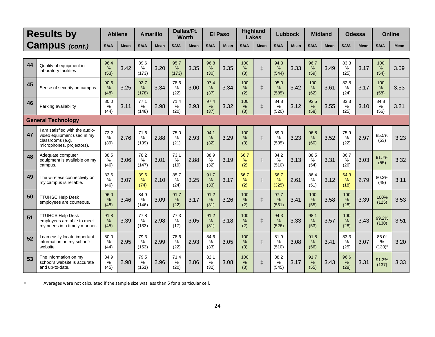|    | <b>Results by</b>                                                                                             |                               | <b>Abilene</b> | <b>Amarillo</b>                |             | Dallas/Ft.                    | <b>Worth</b> |                               | <b>El Paso</b> |                        | <b>Highland</b><br><b>Lakes</b> |                                | <b>Lubbock</b> |                               | <b>Midland</b> |                              | <b>Odessa</b> | <b>Online</b>                         |      |
|----|---------------------------------------------------------------------------------------------------------------|-------------------------------|----------------|--------------------------------|-------------|-------------------------------|--------------|-------------------------------|----------------|------------------------|---------------------------------|--------------------------------|----------------|-------------------------------|----------------|------------------------------|---------------|---------------------------------------|------|
|    | <b>Campus</b> (cont.)                                                                                         | <b>SA/A</b>                   | <b>Mean</b>    | <b>SA/A</b>                    | <b>Mean</b> | <b>SA/A</b>                   | <b>Mean</b>  | <b>SA/A</b>                   | <b>Mean</b>    | <b>SA/A</b>            | <b>Mean</b>                     | <b>SA/A</b>                    | <b>Mean</b>    | <b>SA/A</b>                   | <b>Mean</b>    | <b>SA/A</b>                  | <b>Mean</b>   | <b>SA/A</b>                           | Mean |
| 44 | Quality of equipment in<br>laboratory facilities                                                              | 96.4<br>$\frac{0}{0}$         | 3.42           | 89.6<br>$\%$                   | 3.20        | 95.7<br>%                     | 3.35         | 96.8<br>$\%$                  | 3.35           | 100<br>%               | $\ddagger$                      | 94.3<br>$\%$                   | 3.33           | 96.7<br>$\frac{0}{0}$         | 3.49           | 83.3<br>$\%$                 | 3.17          | 100<br>%                              | 3.59 |
| 45 | Sense of security on campus                                                                                   | (53)<br>90.6<br>%<br>(48)     | 3.25           | (173)<br>92.7<br>$\%$<br>(178) | 3.34        | (173)<br>78.6<br>%<br>(22)    | 3.00         | (30)<br>97.4<br>%<br>(37)     | 3.34           | (3)<br>100<br>%<br>(2) | $\ddagger$                      | (544)<br>95.0<br>$\%$<br>(585) | 3.42           | (59)<br>100<br>%<br>(62)      | 3.61           | (25)<br>82.8<br>$\%$<br>(24) | 3.17          | (54)<br>100<br>%<br>(58)              | 3.53 |
| 46 | Parking availability                                                                                          | 80.0<br>$\%$<br>(44)          | 3.11           | 77.1<br>%<br>(148)             | 2.98        | 71.4<br>%<br>(20)             | 2.93         | 97.4<br>%<br>(37)             | 3.32           | 100<br>%<br>(3)        | $\ddagger$                      | 84.8<br>%<br>(520)             | 3.12           | 93.5<br>%<br>(58)             | 3.55           | 83.3<br>%<br>(25)            | 3.10          | 84.8<br>%<br>(56)                     | 3.21 |
|    | <b>General Technology</b>                                                                                     |                               |                |                                |             |                               |              |                               |                |                        |                                 |                                |                |                               |                |                              |               |                                       |      |
| 47 | I am satisfied with the audio-<br>video equipment used in my<br>classrooms (e.g.<br>microphones, projectors). | 72.2<br>$\frac{0}{0}$<br>(39) | 2.76           | 71.6<br>%<br>(139)             | 2.88        | 75.0<br>%<br>(21)             | 2.93         | 94.1<br>$\frac{9}{6}$<br>(32) | 3.29           | 100<br>%<br>(3)        | $\ddagger$                      | 89.0<br>$\frac{0}{0}$<br>(535) | 3.23           | 96.8<br>%<br>(60)             | 3.52           | 75.9<br>%<br>(22)            | 2.97          | 85.5%<br>(53)                         | 3.23 |
| 48 | Adequate computer<br>equipment is available on my<br>campus.                                                  | 88.5<br>%<br>(46)             | 3.06           | 78.2<br>$\%$<br>(147)          | 3.01        | 73.1<br>%<br>(19)             | 2.88         | 88.9<br>$\%$<br>(32)          | 3.19           | 66.7<br>%<br>(2)       | $\ddagger$                      | 84.2<br>$\%$<br>(510)          | 3.13           | 88.5<br>$\frac{0}{0}$<br>(54) | 3.31           | 86.7<br>$\%$<br>(26)         | 3.03          | 91.7%<br>(55)                         | 3.32 |
| 49 | The wireless connectivity on<br>my campus is reliable.                                                        | 83.6<br>%<br>(46)             | 3.07           | 39.6<br>%<br>(74)              | 2.10        | 85.7<br>%<br>(24)             | 3.25         | 91.7<br>%<br>(33)             | 3.17           | 66.7<br>%<br>(2)       | $\ddagger$                      | 56.7<br>$\%$<br>(325)          | 2.61           | 86.4<br>%<br>(51)             | 3.12           | 64.3<br>%<br>(18)            | 2.79          | 80.3%<br>(49)                         | 3.11 |
| 50 | <b>TTUHSC Help Desk</b><br>employees are courteous.                                                           | 96.0<br>%<br>(48)             | 3.46           | 84.9<br>%<br>(146)             | 3.09        | 91.7<br>$\frac{0}{0}$<br>(22) | 3.17         | 91.2<br>$\%$<br>(31)          | 3.26           | 100<br>%<br>(2)        | $\ddagger$                      | 97.7<br>$\%$<br>(551)          | 3.41           | 100<br>%<br>(55)              | 3.58           | 100<br>%<br>(28)             | 3.39          | 100%<br>(125)                         | 3.53 |
| 51 | <b>TTUHCS Help Desk</b><br>employees are able to meet<br>my needs in a timely manner.                         | 91.8<br>%<br>(45)             | 3.39           | 77.8<br>$\%$<br>(133)          | 2.98        | 77.3<br>%<br>(17)             | 3.05         | 91.2<br>%<br>(31)             | 3.18           | 100<br>%<br>(2)        | $\ddagger$                      | 94.3<br>%<br>(526)             | 3.33           | 98.1<br>$\%$<br>(53)          | 3.57           | 100<br>%<br>(28)             | 3.43          | 99.2%<br>(130)                        | 3.51 |
| 52 | I can easily locate important<br>information on my school's<br>website.                                       | 80.0<br>%<br>(44)             | 2.95           | 79.3<br>$\%$<br>(153)          | 2.99        | 78.6<br>%<br>(22)             | 2.93         | 84.6<br>%<br>(33)             | 3.05           | 100<br>%<br>(3)        | $\ddagger$                      | 81.9<br>$\%$<br>(510)          | 3.08           | 91.8<br>%<br>(56)             | 3.41           | 83.3<br>%<br>(25)            | 3.07          | 85.0 <sup>R</sup><br>%<br>$(130)^{R}$ | 3.20 |
| 53 | The information on my<br>school's website is accurate<br>and up-to-date.                                      | 84.9<br>%<br>(45)             | 2.98           | 79.5<br>%<br>(151)             | 2.96        | 71.4<br>%<br>(20)             | 2.86         | 82.1<br>$\%$<br>(32)          | 3.08           | 100<br>$\%$<br>(3)     | $\ddagger$                      | 88.2<br>%<br>(545)             | 3.17           | 91.7<br>$\%$<br>(55)          | 3.43           | 96.6<br>$\%$<br>(28)         | 3.31          | 91.3%<br>(137)                        | 3.33 |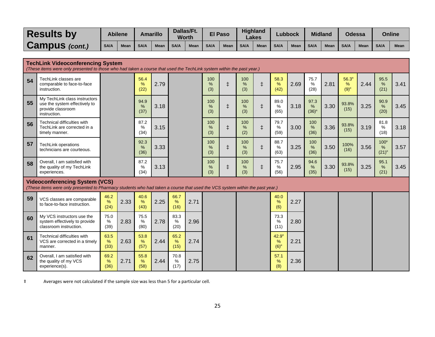|    | <b>Results by</b>                                                                                                                                                     |                   | <b>Abilene</b> |                   | <b>Amarillo</b> |                      | Dallas/Ft.<br><b>Worth</b> |                    | <b>El Paso</b> |                 | <b>Highland</b><br><b>Lakes</b> |                                            | <b>Lubbock</b> |                         | <b>Midland</b> | <b>Odessa</b>                       |             | <b>Online</b>                       |      |
|----|-----------------------------------------------------------------------------------------------------------------------------------------------------------------------|-------------------|----------------|-------------------|-----------------|----------------------|----------------------------|--------------------|----------------|-----------------|---------------------------------|--------------------------------------------|----------------|-------------------------|----------------|-------------------------------------|-------------|-------------------------------------|------|
|    | <b>Campus</b> (cont.)                                                                                                                                                 | SA/A              | <b>Mean</b>    | <b>SA/A</b>       | <b>Mean</b>     | <b>SA/A</b>          | <b>Mean</b>                | <b>SA/A</b>        | <b>Mean</b>    | <b>SA/A</b>     | <b>Mean</b>                     | <b>SA/A</b>                                | <b>Mean</b>    | <b>SA/A</b>             | <b>Mean</b>    | <b>SA/A</b>                         | <b>Mean</b> | <b>SA/A</b>                         | Mean |
|    | <b>TechLink Videoconferencing System</b><br>(These items were only presented to those who had taken a course that used the TechLink system within the past year.)     |                   |                |                   |                 |                      |                            |                    |                |                 |                                 |                                            |                |                         |                |                                     |             |                                     |      |
| 54 | TechLink classes are<br>comparable to face-to-face<br>instruction.                                                                                                    |                   |                | 56.4<br>%<br>(22) | 2.79            |                      |                            | 100<br>%<br>(3)    | $\ddagger$     | 100<br>%<br>(3) | $\ddagger$                      | 58.3<br>%<br>(42)                          | 2.69           | 75.7<br>$\%$<br>(28)    | 2.81           | 56.3 <sup>R</sup><br>%<br>$(9)^{R}$ | 2.44        | 95.5<br>%<br>(21)                   | 3.41 |
| 55 | My TechLink class instructors<br>use the system effectively to<br>provide classroom<br>instruction.                                                                   |                   |                | 94.9<br>%<br>(37) | 3.18            |                      |                            | 100<br>%<br>(3)    | $\ddagger$     | 100<br>%<br>(3) | $\ddagger$                      | 89.0<br>%<br>(65)                          | 3.18           | 97.3<br>%<br>$(36)^{R}$ | 3.30           | 93.8%<br>(15)                       | 3.25        | 90.9<br>%<br>(20)                   | 3.45 |
| 56 | Technical difficulties with<br>TechLink are corrected in a<br>timely manner.                                                                                          |                   |                | 87.2<br>%<br>(34) | 3.15            |                      |                            | 100<br>%<br>(3)    | $\ddagger$     | 100<br>%<br>(2) | $\ddagger$                      | 79.7<br>%<br>(59)                          | 3.00           | 100<br>%<br>(36)        | 3.36           | 93.8%<br>(15)                       | 3.19        | 81.8<br>%<br>(18)                   | 3.18 |
| 57 | <b>TechLink operations</b><br>technicians are courteous.                                                                                                              |                   |                | 92.3<br>%<br>(36) | 3.33            |                      |                            | 100<br>%<br>(3)    | $\ddagger$     | 100<br>%<br>(3) | $\ddagger$                      | 88.7<br>%<br>(63)                          | 3.25           | 100<br>%<br>(36)        | 3.50           | 100%<br>(16)                        | 3.56        | 100 <sup>R</sup><br>%<br>$(21)^{R}$ | 3.57 |
| 58 | Overall. I am satisfied with<br>the quality of my TechLink<br>experiences.                                                                                            |                   |                | 87.2<br>%<br>(34) | 3.13            |                      |                            | 100<br>$\%$<br>(3) | $\ddagger$     | 100<br>%<br>(3) | $\ddagger$                      | 75.7<br>%<br>(56)                          | 2.95           | 94.6<br>%<br>(35)       | 3.30           | 93.8%<br>(15)                       | 3.25        | 95.1<br>%<br>(21)                   | 3.45 |
|    | <b>Videoconferencing System (VCS)</b><br>(These items were only presented to Pharmacy students who had taken a course that used the VCS system within the past year.) |                   |                |                   |                 |                      |                            |                    |                |                 |                                 |                                            |                |                         |                |                                     |             |                                     |      |
| 59 | VCS classes are comparable<br>to face-to-face instruction.                                                                                                            | 46.2<br>%<br>(24) | 2.33           | 40.6<br>%<br>(43) | 2.25            | 66.7<br>%<br>(16)    | 2.71                       |                    |                |                 |                                 | 40.0<br>%<br>(6)                           | 2.27           |                         |                |                                     |             |                                     |      |
| 60 | My VCS instructors use the<br>system effectively to provide<br>classroom instruction.                                                                                 | 75.0<br>%<br>(39) | 2.83           | 75.5<br>%<br>(80) | 2.78            | 83.3<br>$\%$<br>(20) | 2.96                       |                    |                |                 |                                 | 73.3<br>%<br>(11)                          | 2.80           |                         |                |                                     |             |                                     |      |
| 61 | Technical difficulties with<br>VCS are corrected in a timely<br>manner.                                                                                               | 63.5<br>%<br>(33) | 2.63           | 53.8<br>%<br>(57) | 2.44            | 65.2<br>%<br>(15)    | 2.74                       |                    |                |                 |                                 | 42.9 <sup>R</sup><br>%<br>(6) <sup>R</sup> | 2.21           |                         |                |                                     |             |                                     |      |
| 62 | Overall, I am satisfied with<br>the quality of my VCS<br>experience(s).                                                                                               | 69.2<br>%<br>(36) | 2.71           | 55.8<br>%<br>(58) | 2.44            | 70.8<br>%<br>(17)    | 2.75                       |                    |                |                 |                                 | 57.1<br>%<br>(8)                           | 2.36           |                         |                |                                     |             |                                     |      |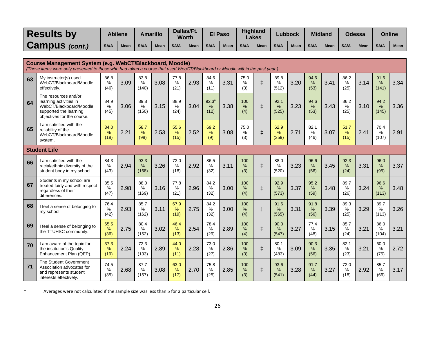|    | <b>Results by</b>                                                                                                                                                                        |                      | <b>Abilene</b> |                    | <b>Amarillo</b> |                   | Dallas/Ft.<br><b>Worth</b> |                                | <b>El Paso</b> |                    | <b>Highland</b><br><b>Lakes</b> |                       | <b>Lubbock</b> |                      | <b>Midland</b> |                      | Odessa      |                       | <b>Online</b> |
|----|------------------------------------------------------------------------------------------------------------------------------------------------------------------------------------------|----------------------|----------------|--------------------|-----------------|-------------------|----------------------------|--------------------------------|----------------|--------------------|---------------------------------|-----------------------|----------------|----------------------|----------------|----------------------|-------------|-----------------------|---------------|
|    | <b>Campus</b> (cont.)                                                                                                                                                                    | <b>SA/A</b>          | <b>Mean</b>    | <b>SA/A</b>        | <b>Mean</b>     | <b>SA/A</b>       | Mean                       | <b>SA/A</b>                    | <b>Mean</b>    | <b>SA/A</b>        | <b>Mean</b>                     | <b>SA/A</b>           | <b>Mean</b>    | <b>SA/A</b>          | <b>Mean</b>    | <b>SA/A</b>          | <b>Mean</b> | <b>SA/A</b>           | <b>Mean</b>   |
|    |                                                                                                                                                                                          |                      |                |                    |                 |                   |                            |                                |                |                    |                                 |                       |                |                      |                |                      |             |                       |               |
|    | Course Management System (e.g. WebCT/Blackboard, Moodle)<br>(These items were only presented to those who had taken a course that used WebCT/Blackboard or Moodle within the past year.) |                      |                |                    |                 |                   |                            |                                |                |                    |                                 |                       |                |                      |                |                      |             |                       |               |
| 63 | My instructor(s) used<br>WebCT/Blackboard/Moodle<br>effectively.                                                                                                                         | 86.8<br>$\%$<br>(46) | 3.09           | 83.8<br>%<br>(140) | 3.08            | 77.8<br>%<br>(21) | 2.93                       | 84.6<br>%<br>(11)              | 3.31           | 75.0<br>%<br>(3)   | $\ddagger$                      | 89.8<br>%<br>(512)    | 3.20           | 94.6<br>%<br>(53)    | 3.41           | 86.2<br>%<br>(25)    | 3.14        | 91.6<br>$\%$<br>(141) | 3.34          |
| 64 | The resources and/or<br>learning activities in<br>WebCT/Blackboard/Moodle<br>supported the learning<br>objectives for the course.                                                        | 84.9<br>$\%$<br>(45) | 3.06           | 89.8<br>%<br>(150) | 3.15            | 88.9<br>%<br>(24) | 3.04                       | 92.3 <sup>R</sup><br>%<br>(12) | 3.38           | 100<br>$\%$<br>(4) | $\ddagger$                      | 92.1<br>%<br>(525)    | 3.23           | 94.6<br>%<br>(53)    | 3.43           | 86.2<br>%<br>(25)    | 3.10        | 94.2<br>$\%$<br>(145) | 3.36          |
| 65 | I am satisfied with the<br>reliability of the<br>WebCT/Blackboard/Moodle<br>system.                                                                                                      | 34.0<br>%<br>(18)    | 2.21           | 58.7<br>%<br>(98)  | 2.53            | 55.6<br>%<br>(15) | 2.52                       | 69.2<br>%<br>(9)               | 3.08           | 75.0<br>%<br>(3)   | $\ddagger$                      | 62.9<br>%<br>(359)    | 2.71           | 82.1<br>%<br>(46)    | 3.07           | 51.7<br>%<br>(15)    | 2.41        | 70.4<br>%<br>(107)    | 2.91          |
|    | <b>Student Life</b>                                                                                                                                                                      |                      |                |                    |                 |                   |                            |                                |                |                    |                                 |                       |                |                      |                |                      |             |                       |               |
| 66 | I am satisfied with the<br>racial/ethnic diversity of the<br>student body in my school.                                                                                                  | 84.3<br>$\%$<br>(43) | 2.94           | 93.3<br>%<br>(168) | 3.26            | 72.0<br>%<br>(18) | 2.92                       | 86.5<br>%<br>(32)              | 3.11           | 100<br>%<br>(3)    | $\ddagger$                      | 88.0<br>$\%$<br>(520) | 3.23           | 96.6<br>%<br>(56)    | 3.45           | 92.3<br>%<br>(24)    | 3.31        | 96.0<br>$\%$<br>(95)  | 3.37          |
| 67 | Students in my school are<br>treated fairly and with respect<br>regardless of their<br>differences.                                                                                      | 85.5<br>$\%$<br>(47) | 2.98           | 88.0<br>%<br>(169) | 3.16            | 77.8<br>%<br>(21) | 2.96                       | 84.2<br>$\%$<br>(32)           | 3.00           | 100<br>$\%$<br>(4) | $\ddagger$                      | 92.9<br>%<br>(573)    | 3.37           | 95.2<br>%<br>(59)    | 3.48           | 89.7<br>$\%$<br>(26) | 3.24        | 96.6<br>$\%$<br>(113) | 3.48          |
| 68 | I feel a sense of belonging to<br>my school.                                                                                                                                             | 76.4<br>$\%$<br>(42) | 2.93           | 85.7<br>%<br>(162) | 3.11            | 67.9<br>%<br>(19) | 2.75                       | 84.2<br>$\%$<br>(32)           | 3.00           | 100<br>%<br>(4)    | $\ddagger$                      | 91.6<br>%<br>(565)    | 3.31           | 91.8<br>%<br>(56)    | 3.39           | 89.3<br>%<br>(25)    | 3.29        | 89.7<br>$\%$<br>(113) | 3.26          |
| 69 | I feel a sense of belonging to<br>the TTUHSC community.                                                                                                                                  | 65.5<br>%<br>(36)    | 2.75           | 80.4<br>%<br>(152) | 3.02            | 46.4<br>%<br>(13) | 2.54                       | 78.4<br>%<br>(29)              | 2.89           | 100<br>%<br>(4)    | $\ddagger$                      | 90.0<br>%<br>(547)    | 3.27           | 77.4<br>$\%$<br>(48) | 3.15           | 85.7<br>$\%$<br>(24) | 3.21        | 86.0<br>%<br>(104)    | 3.21          |
| 70 | I am aware of the topic for<br>the institution's Quality<br>Enhancement Plan (QEP).                                                                                                      | 37.3<br>$\%$<br>(19) | 2.24           | 72.3<br>%<br>(133) | 2.89            | 44.0<br>%<br>(11) | 2.28                       | 73.0<br>$\%$<br>(27)           | 2.86           | 100<br>%<br>(3)    | $\ddagger$                      | 80.1<br>$\%$<br>(483) | 3.09           | 90.3<br>$\%$<br>(56) | 3.35           | 82.1<br>%<br>(23)    | 3.21        | 60.0<br>$\%$<br>(75)  | 2.72          |
| 71 | The Student Government<br>Association advocates for<br>and represents student<br>وبالمرابئة والتفاعل المقاوم والمقاوية                                                                   | 74.5<br>%<br>(35)    | 2.68           | 87.7<br>%<br>(157) | 3.08            | 63.0<br>%<br>(17) | 2.70                       | 75.8<br>%<br>(25)              | 2.85           | 100<br>%<br>(3)    | $\ddagger$                      | 93.6<br>%<br>(541)    | 3.28           | 91.7<br>%<br>(44)    | 3.27           | 72.0<br>%<br>(18)    | 2.92        | 85.7<br>%<br>(66)     | 3.17          |

and represents student interests effectively.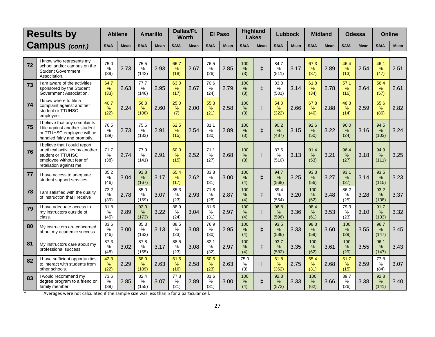|    | <b>Results by</b>                                                                                                                            |                               | <b>Abilene</b> | <b>Amarillo</b>       |             |                      | Dallas/Ft.<br><b>Worth</b> |                      | <b>El Paso</b> |                    | <b>Highland</b><br><b>Lakes</b> |                       | Lubbock     |                      | <b>Midland</b> |                      | Odessa      |                                | <b>Online</b> |
|----|----------------------------------------------------------------------------------------------------------------------------------------------|-------------------------------|----------------|-----------------------|-------------|----------------------|----------------------------|----------------------|----------------|--------------------|---------------------------------|-----------------------|-------------|----------------------|----------------|----------------------|-------------|--------------------------------|---------------|
|    | <b>Campus</b> (cont.)                                                                                                                        | <b>SA/A</b>                   | <b>Mean</b>    | <b>SA/A</b>           | <b>Mean</b> | <b>SA/A</b>          | <b>Mean</b>                | <b>SA/A</b>          | <b>Mean</b>    | <b>SA/A</b>        | <b>Mean</b>                     | <b>SA/A</b>           | <b>Mean</b> | <b>SA/A</b>          | <b>Mean</b>    | <b>SA/A</b>          | <b>Mean</b> | <b>SA/A</b>                    | <b>Mean</b>   |
|    |                                                                                                                                              |                               |                |                       |             |                      |                            |                      |                |                    |                                 |                       |             |                      |                |                      |             |                                |               |
| 72 | I know who represents my<br>school and/or campus on the<br><b>Student Government</b><br>Association.                                         | 75.0<br>%<br>(39)             | 2.73           | 75.5<br>%<br>(142)    | 2.93        | 66.7<br>$\%$<br>(18) | 2.67                       | 76.5<br>%<br>(26)    | 2.85           | 100<br>%<br>(3)    | $\ddagger$                      | 84.7<br>%<br>(511)    | 3.17        | 67.3<br>%<br>(37)    | 2.89           | 46.4<br>%<br>(13)    | 2.54        | 46.1<br>%<br>(47)              | 2.51          |
| 73 | I am aware of the activities<br>sponsored by the Student<br>Government Association.                                                          | 64.7<br>%<br>(33)             | 2.63           | 77.7<br>%<br>(146)    | 2.95        | 63.0<br>$\%$<br>(17) | 2.67                       | 70.6<br>%<br>(24)    | 2.79           | 100<br>%<br>(3)    | $\ddagger$                      | 83.8<br>%<br>(501)    | 3.14        | 61.8<br>%<br>(34)    | 2.78           | 57.1<br>%<br>(16)    | 2.64        | 56.4<br>%<br>(57)              | 2.61          |
| 74 | I know where to file a<br>complaint against another<br>student or TTUHSC<br>employee.                                                        | 40.7<br>$\%$<br>(22)          | 2.24           | 56.8<br>$\%$<br>(108) | 2.60        | 25.0<br>$\%$<br>(7)  | 2.00                       | 55.3<br>$\%$<br>(21) | 2.58           | 100<br>$\%$<br>(3) | $\ddagger$                      | 54.0<br>$\%$<br>(322) | 2.66        | 67.8<br>$\%$<br>(40) | 2.88           | 48.3<br>$\%$<br>(14) | 2.59        | 65.6<br>$\%$<br>(86)           | 2.82          |
| 75 | I believe that any complaints<br>I file against another student<br>or TTUHSC employee will be<br>handled fairly and promptly.                | 76.5<br>$\frac{0}{0}$<br>(39) | 2.73           | 75.6<br>%<br>(133)    | 2.91        | 62.5<br>%<br>(15)    | 2.54                       | 81.1<br>%<br>(30)    | 2.89           | 100<br>%<br>(3)    | $\ddagger$                      | 90.2<br>%<br>(487)    | 3.15        | 92.6<br>%<br>(50)    | 3.22           | 96.0<br>%<br>(24)    | 3.16        | 94.5<br>%<br>(103)             | 3.24          |
| 76 | I believe that I could report<br>unethical activities by another<br>student or TTUHSC<br>employee without fear of<br>retaliation against me. | 71.7<br>$\%$<br>(38)          | 2.74           | 77.9<br>%<br>(141)    | 2.91        | 60.0<br>$\%$<br>(15) | 2.52                       | 71.1<br>%<br>(27)    | 2.68           | 100<br>%<br>(3)    | $\ddagger$                      | 87.5<br>%<br>(510)    | 3.13        | 91.4<br>%<br>(53)    | 3.21           | 96.4<br>%<br>(27)    | 3.18        | 94.9<br>$\%$<br>(111)          | 3.25          |
| 77 | I have access to adequate<br>student support services.                                                                                       | 85.2<br>%<br>(46)             | 3.04           | 91.8<br>%<br>(167)    | 3.17        | 65.4<br>%<br>(17)    | 2.62                       | 83.8<br>%<br>(31)    | 3.00           | 100<br>$\%$<br>(4) | $\ddagger$                      | 94.7<br>%<br>(568)    | 3.25        | 93.3<br>%<br>(56)    | 3.27           | 93.1<br>%<br>(27)    | 3.14        | 93.5<br>$\frac{9}{6}$<br>(115) | 3.23          |
| 78 | I am satisfied with the quality<br>of instruction that I receive                                                                             | 72.2<br>%<br>(39)             | 2.78           | 85.0<br>%<br>(159)    | 3.07        | 85.3<br>%<br>(23)    | 2.93                       | 71.8<br>%<br>(28)    | 2.87           | 100<br>$\%$<br>(4) | $\ddagger$                      | 89.4<br>%<br>(554)    | 3.20        | 100<br>%<br>(62)     | 3.48           | 86.2<br>%<br>(25)    | 3.28        | 93.2<br>%<br>(138)             | 3.37          |
| 79 | I have adequate access to<br>my instructors outside of<br>class.                                                                             | 81.8<br>%<br>(45)             | 2.89           | 92.0<br>$\%$<br>(173) | 3.22        | 88.9<br>%<br>(24)    | 3.04                       | 81.6<br>%<br>(31)    | 2.97           | 100<br>%<br>(4)    | $\ddagger$                      | 96.8<br>$\%$<br>(596) | 3.36        | 98.4<br>%<br>(61)    | 3.53           | 79.3<br>%<br>(23)    | 3.10        | 91.7<br>%<br>(133)             | 3.32          |
| 80 | My instructors are concerned<br>about my academic success.                                                                                   | 83.6<br>%<br>(46)             | 3.00           | 85.3<br>%<br>(162)    | 3.13        | 88.5<br>%<br>(23)    | 3.08                       | 76.9<br>%<br>(30)    | 2.95           | 100<br>%<br>(4)    | $\ddagger$                      | 93.5<br>%<br>(586)    | 3.33        | 98.3<br>%<br>(59)    | 3.60           | 100<br>%<br>(29)     | 3.55        | 96.7<br>%<br>(147)             | 3.45          |
| 81 | My instructors care about my<br>professional success.                                                                                        | 87.3<br>%<br>(48)             | 3.02           | 87.8<br>%<br>(165)    | 3.17        | 88.5<br>%<br>(23)    | 3.08                       | 82.1<br>%<br>(32)    | 2.97           | 100<br>$\%$<br>(4) | $\ddagger$                      | 93.7<br>%<br>(582)    | 3.35        | 100<br>%<br>(62)     | 3.61           | 100<br>$\%$<br>(29)  | 3.55        | 96.1<br>%<br>(147)             | 3.43          |
| 82 | I have sufficient opportunities<br>to interact with students from<br>other schools.                                                          | 42.3<br>%<br>(22)             | 2.29           | 58.0<br>%<br>(109)    | 2.63        | 61.5<br>%<br>(16)    | 2.58                       | 60.5<br>%<br>(23)    | 2.63           | 75.0<br>%<br>(3)   | $\ddagger$                      | 61.8<br>%<br>(362)    | 2.75        | 55.4<br>%<br>(31)    | 2.68           | 51.7<br>%<br>(15)    | 2.59        | 77.8<br>%<br>(84)              | 3.07          |
| 83 | I would recommend my<br>degree program to a friend or<br>family member.                                                                      | 73.6<br>$\%$<br>(39)          | 2.85           | 82.4<br>%<br>(155)    | 3.07        | 77.8<br>$\%$<br>(21) | 2.89                       | 81.6<br>%<br>(31)    | 3.00           | 100<br>%<br>(4)    | $\ddagger$                      | 92.3<br>$\%$<br>(572) | 3.33        | 100<br>%<br>(62)     | 3.66           | 89.7<br>%<br>(26)    | 3.38        | 92.8<br>$\frac{9}{6}$<br>(141) | 3.40          |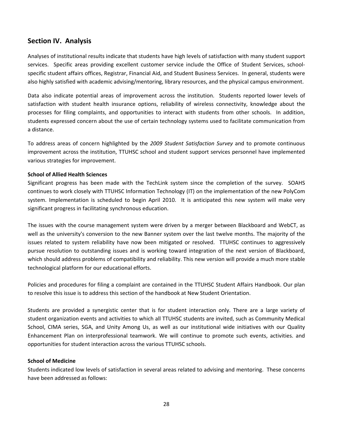# **Section IV. Analysis**

Analyses of institutional results indicate that students have high levels of satisfaction with many student support services. Specific areas providing excellent customer service include the Office of Student Services, schoolspecific student affairs offices, Registrar, Financial Aid, and Student Business Services. In general, students were also highly satisfied with academic advising/mentoring, library resources, and the physical campus environment.

Data also indicate potential areas of improvement across the institution. Students reported lower levels of satisfaction with student health insurance options, reliability of wireless connectivity, knowledge about the processes for filing complaints, and opportunities to interact with students from other schools. In addition, students expressed concern about the use of certain technology systems used to facilitate communication from a distance.

To address areas of concern highlighted by the *2009 Student Satisfaction Survey* and to promote continuous improvement across the institution, TTUHSC school and student support services personnel have implemented various strategies for improvement.

#### **School of Allied Health Sciences**

Significant progress has been made with the TechLink system since the completion of the survey. SOAHS continues to work closely with TTUHSC Information Technology (IT) on the implementation of the new PolyCom system. Implementation is scheduled to begin April 2010. It is anticipated this new system will make very significant progress in facilitating synchronous education.

The issues with the course management system were driven by a merger between Blackboard and WebCT, as well as the university's conversion to the new Banner system over the last twelve months. The majority of the issues related to system reliability have now been mitigated or resolved. TTUHSC continues to aggressively pursue resolution to outstanding issues and is working toward integration of the next version of Blackboard, which should address problems of compatibility and reliability. This new version will provide a much more stable technological platform for our educational efforts.

Policies and procedures for filing a complaint are contained in the TTUHSC Student Affairs Handbook. Our plan to resolve this issue is to address this section of the handbook at New Student Orientation.

Students are provided a synergistic center that is for student interaction only. There are a large variety of student organization events and activities to which all TTUHSC students are invited, such as Community Medical School, CIMA series, SGA, and Unity Among Us, as well as our institutional wide initiatives with our Quality Enhancement Plan on interprofessional teamwork. We will continue to promote such events, activities. and opportunities for student interaction across the various TTUHSC schools.

#### **School of Medicine**

Students indicated low levels of satisfaction in several areas related to advising and mentoring. These concerns have been addressed as follows: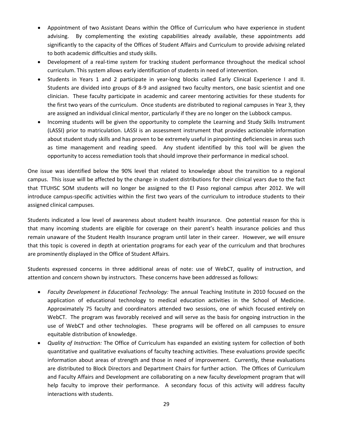- Appointment of two Assistant Deans within the Office of Curriculum who have experience in student advising. By complementing the existing capabilities already available, these appointments add significantly to the capacity of the Offices of Student Affairs and Curriculum to provide advising related to both academic difficulties and study skills.
- Development of a real-time system for tracking student performance throughout the medical school curriculum. This system allows early identification of students in need of intervention.
- Students in Years 1 and 2 participate in year‐long blocks called Early Clinical Experience I and II. Students are divided into groups of 8‐9 and assigned two faculty mentors, one basic scientist and one clinician. These faculty participate in academic and career mentoring activities for these students for the first two years of the curriculum. Once students are distributed to regional campuses in Year 3, they are assigned an individual clinical mentor, particularly if they are no longer on the Lubbock campus.
- Incoming students will be given the opportunity to complete the Learning and Study Skills Instrument (LASSI) prior to matriculation. LASSI is an assessment instrument that provides actionable information about student study skills and has proven to be extremely useful in pinpointing deficiencies in areas such as time management and reading speed. Any student identified by this tool will be given the opportunity to access remediation tools that should improve their performance in medical school.

One issue was identified below the 90% level that related to knowledge about the transition to a regional campus. This issue will be affected by the change in student distributions for their clinical years due to the fact that TTUHSC SOM students will no longer be assigned to the El Paso regional campus after 2012. We will introduce campus‐specific activities within the first two years of the curriculum to introduce students to their assigned clinical campuses.

Students indicated a low level of awareness about student health insurance. One potential reason for this is that many incoming students are eligible for coverage on their parent's health insurance policies and thus remain unaware of the Student Health Insurance program until later in their career. However, we will ensure that this topic is covered in depth at orientation programs for each year of the curriculum and that brochures are prominently displayed in the Office of Student Affairs.

Students expressed concerns in three additional areas of note: use of WebCT, quality of instruction, and attention and concern shown by instructors. These concerns have been addressed as follows:

- *Faculty Development in Educational Technology:* The annual Teaching Institute in 2010 focused on the application of educational technology to medical education activities in the School of Medicine. Approximately 75 faculty and coordinators attended two sessions, one of which focused entirely on WebCT. The program was favorably received and will serve as the basis for ongoing instruction in the use of WebCT and other technologies. These programs will be offered on all campuses to ensure equitable distribution of knowledge.
- *Quality of Instruction:* The Office of Curriculum has expanded an existing system for collection of both quantitative and qualitative evaluations of faculty teaching activities. These evaluations provide specific information about areas of strength and those in need of improvement. Currently, these evaluations are distributed to Block Directors and Department Chairs for further action. The Offices of Curriculum and Faculty Affairs and Development are collaborating on a new faculty development program that will help faculty to improve their performance. A secondary focus of this activity will address faculty interactions with students.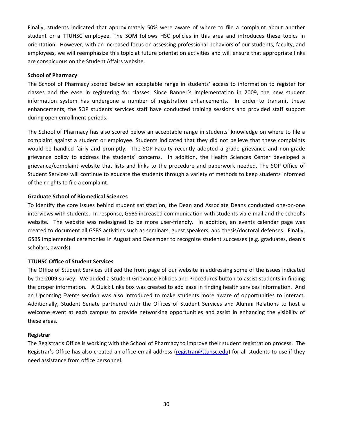Finally, students indicated that approximately 50% were aware of where to file a complaint about another student or a TTUHSC employee. The SOM follows HSC policies in this area and introduces these topics in orientation. However, with an increased focus on assessing professional behaviors of our students, faculty, and employees, we will reemphasize this topic at future orientation activities and will ensure that appropriate links are conspicuous on the Student Affairs website.

#### **School of Pharmacy**

The School of Pharmacy scored below an acceptable range in students' access to information to register for classes and the ease in registering for classes. Since Banner's implementation in 2009, the new student information system has undergone a number of registration enhancements. In order to transmit these enhancements, the SOP students services staff have conducted training sessions and provided staff support during open enrollment periods.

The School of Pharmacy has also scored below an acceptable range in students' knowledge on where to file a complaint against a student or employee. Students indicated that they did not believe that these complaints would be handled fairly and promptly. The SOP Faculty recently adopted a grade grievance and non-grade grievance policy to address the students' concerns. In addition, the Health Sciences Center developed a grievance/complaint website that lists and links to the procedure and paperwork needed. The SOP Office of Student Services will continue to educate the students through a variety of methods to keep students informed of their rights to file a complaint.

#### **Graduate School of Biomedical Sciences**

To identify the core issues behind student satisfaction, the Dean and Associate Deans conducted one‐on‐one interviews with students. In response, GSBS increased communication with students via e‐mail and the school's website. The website was redesigned to be more user-friendly. In addition, an events calendar page was created to document all GSBS activities such as seminars, guest speakers, and thesis/doctoral defenses. Finally, GSBS implemented ceremonies in August and December to recognize student successes (e.g. graduates, dean's scholars, awards).

#### **TTUHSC Office of Student Services**

The Office of Student Services utilized the front page of our website in addressing some of the issues indicated by the 2009 survey. We added a Student Grievance Policies and Procedures button to assist students in finding the proper information. A Quick Links box was created to add ease in finding health services information. And an Upcoming Events section was also introduced to make students more aware of opportunities to interact. Additionally, Student Senate partnered with the Offices of Student Services and Alumni Relations to host a welcome event at each campus to provide networking opportunities and assist in enhancing the visibility of these areas.

#### **Registrar**

The Registrar's Office is working with the School of Pharmacy to improve their student registration process. The Registrar's Office has also created an office email address ([registrar@ttuhsc.edu](mailto:registrar@ttuhsc.edu)) for all students to use if they need assistance from office personnel.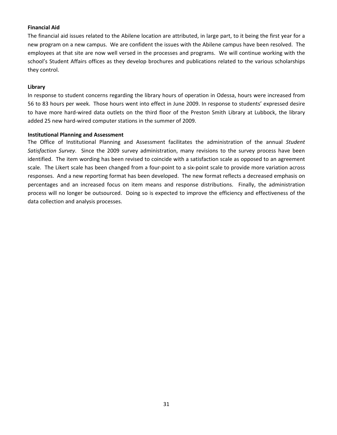#### **Financial Aid**

The financial aid issues related to the Abilene location are attributed, in large part, to it being the first year for a new program on a new campus. We are confident the issues with the Abilene campus have been resolved. The employees at that site are now well versed in the processes and programs. We will continue working with the school's Student Affairs offices as they develop brochures and publications related to the various scholarships they control.

#### **Library**

In response to student concerns regarding the library hours of operation in Odessa, hours were increased from 56 to 83 hours per week. Those hours went into effect in June 2009. In response to students' expressed desire to have more hard‐wired data outlets on the third floor of the Preston Smith Library at Lubbock, the library added 25 new hard‐wired computer stations in the summer of 2009.

#### **Institutional Planning and Assessment**

The Office of Institutional Planning and Assessment facilitates the administration of the annual *Student Satisfaction Survey*. Since the 2009 survey administration, many revisions to the survey process have been identified. The item wording has been revised to coincide with a satisfaction scale as opposed to an agreement scale. The Likert scale has been changed from a four‐point to a six‐point scale to provide more variation across responses. And a new reporting format has been developed. The new format reflects a decreased emphasis on percentages and an increased focus on item means and response distributions. Finally, the administration process will no longer be outsourced. Doing so is expected to improve the efficiency and effectiveness of the data collection and analysis processes.